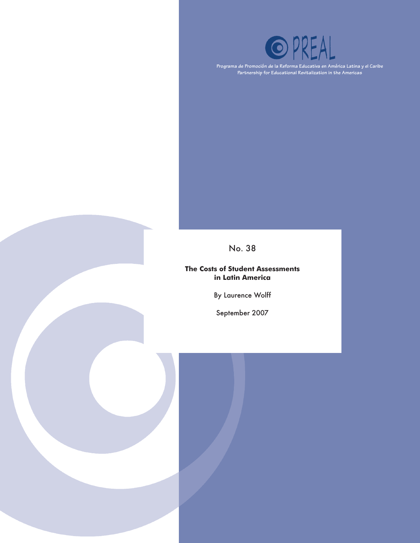

**Programa de Promoción de la Reforma Educativa en América Latina y el Caribe Partnership for Educational Revitalization in the Americas**

### No. 38

**The Costs of Student Assessments in Latin America**

By Laurence Wolff

September 2007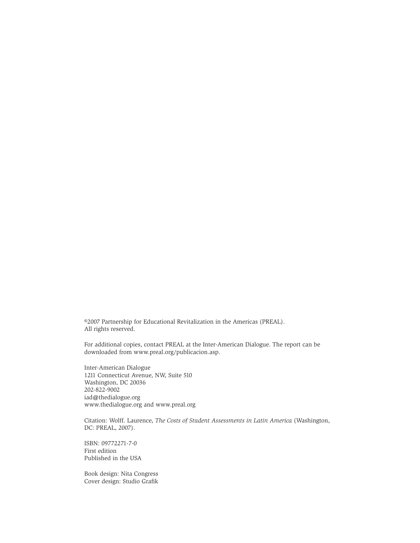©2007 Partnership for Educational Revitalization in the Americas (PREAL). All rights reserved.

For additional copies, contact PREAL at the Inter-American Dialogue. The report can be downloaded from www.preal.org/publicacion.asp.

Inter-American Dialogue 1211 Connecticut Avenue, NW, Suite 510 Washington, DC 20036 202-822-9002 iad@thedialogue.org www.thedialogue.org and www.preal.org

Citation: Wolff. Laurence, *The Costs of Student Assessments in Latin America* (Washington, DC: PREAL, 2007).

ISBN: 09772271-7-0 First edition Published in the USA

Book design: Nita Congress Cover design: Studio Grafik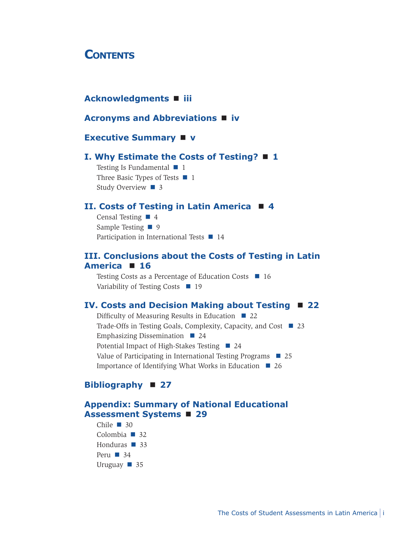### **CONTENTS**

### **Acknowledgments iii**

#### **Acronyms and Abbreviations iv**

#### **Executive Summary v**

#### **I. Why Estimate the Costs of Testing? 1**

Testing Is Fundamental  $\blacksquare$  1 Three Basic Types of Tests  $\blacksquare$  1 Study Overview  $\blacksquare$  3

#### **II. Costs of Testing in Latin America 4**

Censal Testing  $\blacksquare$  4 Sample Testing  $\blacksquare$  9 Participation in International Tests  $\blacksquare$  14

#### **III. Conclusions about the Costs of Testing in Latin America 16**

Testing Costs as a Percentage of Education Costs  $\blacksquare$  16 Variability of Testing Costs 19

#### **IV. Costs and Decision Making about Testing 22**

Difficulty of Measuring Results in Education  $\Box$ Trade-Offs in Testing Goals, Complexity, Capacity, and Cost 23 Emphasizing Dissemination  $\Box$ Potential Impact of High-Stakes Testing ■ 24 Value of Participating in International Testing Programs  $\Box$ Importance of Identifying What Works in Education  $\blacksquare$ 

### **Bibliography 27**

### **Appendix: Summary of National Educational Assessment Systems 29**

Chile  $\blacksquare$ Colombia  $\blacksquare$ Honduras  $\blacksquare$ Peru  $\blacksquare$ Uruguay  $\blacksquare$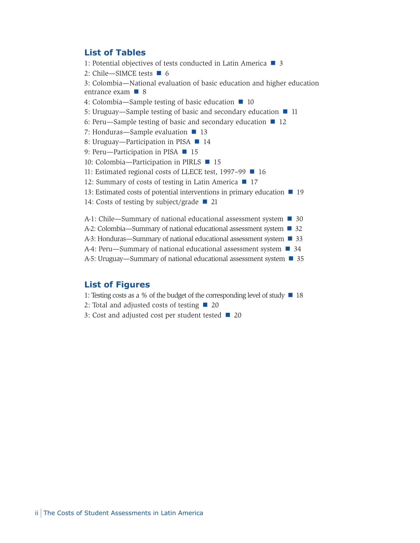#### **List of Tables**

1: Potential objectives of tests conducted in Latin America  $\blacksquare$  3

2: Chile-SIMCE tests  $\blacksquare$  6

3: Colombia—National evaluation of basic education and higher education entrance exam  $\blacksquare$  8

- 4: Colombia—Sample testing of basic education  $\blacksquare$  10
- 5: Uruguay—Sample testing of basic and secondary education  $\blacksquare$  11
- 6: Peru—Sample testing of basic and secondary education  $\blacksquare$  12

7: Honduras—Sample evaluation  $\blacksquare$  13

- 8: Uruguay—Participation in PISA  $\blacksquare$  14
- 9: Peru—Participation in PISA 15
- 10: Colombia—Participation in PIRLS **15**
- 11: Estimated regional costs of LLECE test, 1997–99 16

12: Summary of costs of testing in Latin America  $\blacksquare$  17

13: Estimated costs of potential interventions in primary education  $\blacksquare$  19

14: Costs of testing by subject/grade  $\blacksquare$  21

A-1: Chile—Summary of national educational assessment system ■ 30

A-2: Colombia—Summary of national educational assessment system ■ 32

A-3: Honduras—Summary of national educational assessment system  $\blacksquare$  33

A-4: Peru—Summary of national educational assessment system ■ 34

A-5: Uruguay—Summary of national educational assessment system ■ 35

#### **List of Figures**

- 1: Testing costs as a % of the budget of the corresponding level of study  $\blacksquare$  18
- 2: Total and adjusted costs of testing  $\blacksquare$  20
- 3: Cost and adjusted cost per student tested  $\blacksquare$  20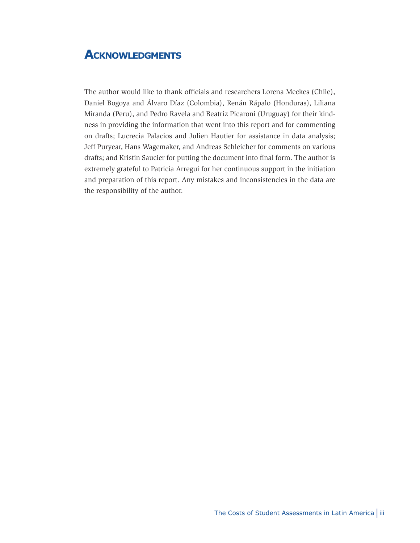## **Acknowledgments**

The author would like to thank officials and researchers Lorena Meckes (Chile), Daniel Bogoya and Álvaro Díaz (Colombia), Renán Rápalo (Honduras), Liliana Miranda (Peru), and Pedro Ravela and Beatriz Picaroni (Uruguay) for their kindness in providing the information that went into this report and for commenting on drafts; Lucrecia Palacios and Julien Hautier for assistance in data analysis; Jeff Puryear, Hans Wagemaker, and Andreas Schleicher for comments on various drafts; and Kristin Saucier for putting the document into final form. The author is extremely grateful to Patricia Arregui for her continuous support in the initiation and preparation of this report. Any mistakes and inconsistencies in the data are the responsibility of the author.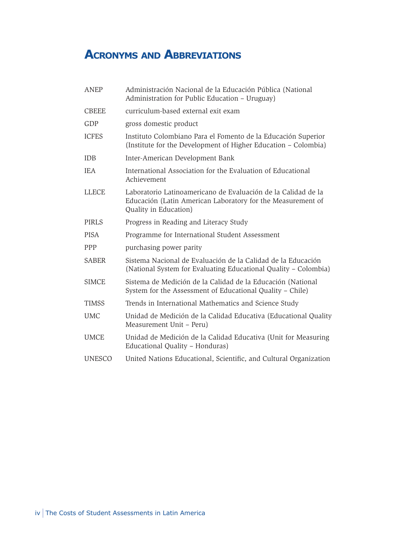# **Acronyms and Abbreviations**

| ANEP          | Administración Nacional de la Educación Pública (National<br>Administration for Public Education - Uruguay)                                           |
|---------------|-------------------------------------------------------------------------------------------------------------------------------------------------------|
| <b>CBEEE</b>  | curriculum-based external exit exam                                                                                                                   |
| GDP           | gross domestic product                                                                                                                                |
| <b>ICFES</b>  | Instituto Colombiano Para el Fomento de la Educación Superior<br>(Institute for the Development of Higher Education – Colombia)                       |
| <b>IDB</b>    | Inter-American Development Bank                                                                                                                       |
| <b>IEA</b>    | International Association for the Evaluation of Educational<br>Achievement                                                                            |
| <b>LLECE</b>  | Laboratorio Latinoamericano de Evaluación de la Calidad de la<br>Educación (Latin American Laboratory for the Measurement of<br>Quality in Education) |
| <b>PIRLS</b>  | Progress in Reading and Literacy Study                                                                                                                |
| <b>PISA</b>   | Programme for International Student Assessment                                                                                                        |
| <b>PPP</b>    | purchasing power parity                                                                                                                               |
| <b>SABER</b>  | Sistema Nacional de Evaluación de la Calidad de la Educación<br>(National System for Evaluating Educational Quality - Colombia)                       |
| <b>SIMCE</b>  | Sistema de Medición de la Calidad de la Educación (National<br>System for the Assessment of Educational Quality - Chile)                              |
| <b>TIMSS</b>  | Trends in International Mathematics and Science Study                                                                                                 |
| <b>UMC</b>    | Unidad de Medición de la Calidad Educativa (Educational Quality<br>Measurement Unit - Peru)                                                           |
| <b>UMCE</b>   | Unidad de Medición de la Calidad Educativa (Unit for Measuring<br>Educational Quality - Honduras)                                                     |
| <b>UNESCO</b> | United Nations Educational, Scientific, and Cultural Organization                                                                                     |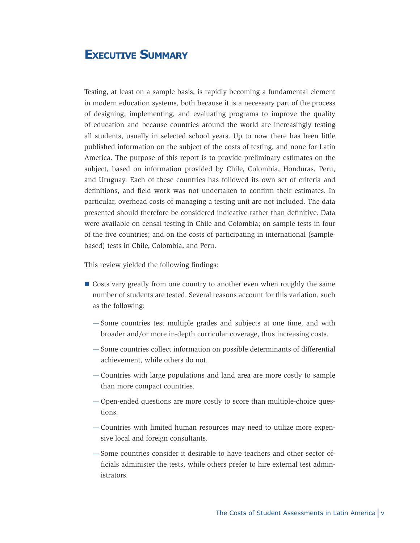## **Executive Summary**

Testing, at least on a sample basis, is rapidly becoming a fundamental element in modern education systems, both because it is a necessary part of the process of designing, implementing, and evaluating programs to improve the quality of education and because countries around the world are increasingly testing all students, usually in selected school years. Up to now there has been little published information on the subject of the costs of testing, and none for Latin America. The purpose of this report is to provide preliminary estimates on the subject, based on information provided by Chile, Colombia, Honduras, Peru, and Uruguay. Each of these countries has followed its own set of criteria and definitions, and field work was not undertaken to confirm their estimates. In particular, overhead costs of managing a testing unit are not included. The data presented should therefore be considered indicative rather than definitive. Data were available on censal testing in Chile and Colombia; on sample tests in four of the five countries; and on the costs of participating in international (samplebased) tests in Chile, Colombia, and Peru.

This review yielded the following findings:

- Costs vary greatly from one country to another even when roughly the same number of students are tested. Several reasons account for this variation, such as the following:
	- $-$  Some countries test multiple grades and subjects at one time, and with broader and/or more in-depth curricular coverage, thus increasing costs.
	- $-$  Some countries collect information on possible determinants of differential achievement, while others do not.
	- Countries with large populations and land area are more costly to sample than more compact countries.
	- Open-ended questions are more costly to score than multiple-choice ques- tions.
	- Countries with limited human resources may need to utilize more expen- sive local and foreign consultants.
	- Some countries consider it desirable to have teachers and other sector officials administer the tests, while others prefer to hire external test administrators.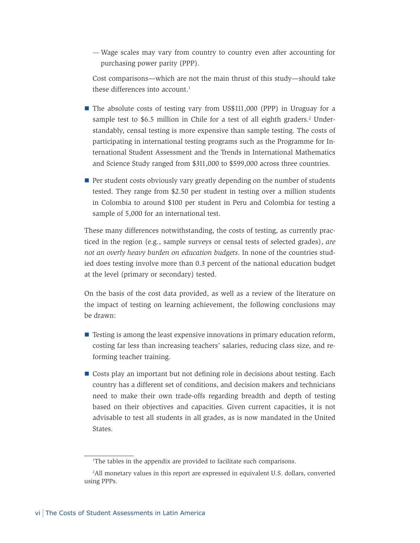Wage scales may vary from country to country even after accounting for purchasing power parity (PPP).

Cost comparisons—which are not the main thrust of this study—should take these differences into account.<sup>1</sup>

- The absolute costs of testing vary from US\$111,000 (PPP) in Uruguay for a sample test to \$6.5 million in Chile for a test of all eighth graders.<sup>2</sup> Understandably, censal testing is more expensive than sample testing. The costs of participating in international testing programs such as the Programme for International Student Assessment and the Trends in International Mathematics and Science Study ranged from \$311,000 to \$599,000 across three countries.
- Per student costs obviously vary greatly depending on the number of students tested. They range from \$2.50 per student in testing over a million students in Colombia to around \$100 per student in Peru and Colombia for testing a sample of 5,000 for an international test.

These many differences notwithstanding, the costs of testing, as currently practiced in the region (e.g., sample surveys or censal tests of selected grades), *are not an overly heavy burden on education budgets*. In none of the countries studied does testing involve more than 0.3 percent of the national education budget at the level (primary or secondary) tested.

On the basis of the cost data provided, as well as a review of the literature on the impact of testing on learning achievement, the following conclusions may be drawn:

- **Testing is among the least expensive innovations in primary education reform,** costing far less than increasing teachers' salaries, reducing class size, and reforming teacher training.
- Costs play an important but not defining role in decisions about testing. Each country has a different set of conditions, and decision makers and technicians need to make their own trade-offs regarding breadth and depth of testing based on their objectives and capacities. Given current capacities, it is not advisable to test all students in all grades, as is now mandated in the United States.

<sup>1</sup> The tables in the appendix are provided to facilitate such comparisons.

<sup>2</sup> All monetary values in this report are expressed in equivalent U.S. dollars, converted using PPPs.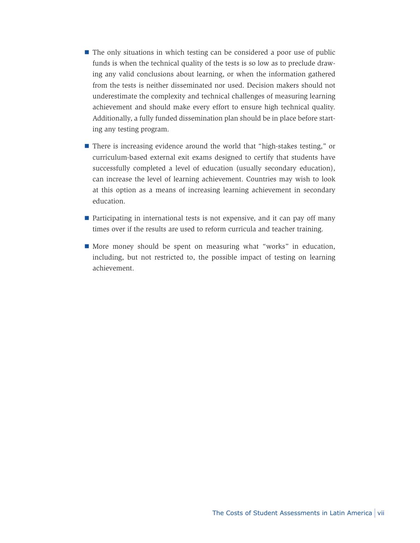- The only situations in which testing can be considered a poor use of public funds is when the technical quality of the tests is so low as to preclude drawing any valid conclusions about learning, or when the information gathered from the tests is neither disseminated nor used. Decision makers should not underestimate the complexity and technical challenges of measuring learning achievement and should make every effort to ensure high technical quality. Additionally, a fully funded dissemination plan should be in place before starting any testing program.
- There is increasing evidence around the world that "high-stakes testing," or curriculum-based external exit exams designed to certify that students have successfully completed a level of education (usually secondary education), can increase the level of learning achievement. Countries may wish to look at this option as a means of increasing learning achievement in secondary education.
- **Participating in international tests is not expensive, and it can pay off many** times over if the results are used to reform curricula and teacher training.
- More money should be spent on measuring what "works" in education, including, but not restricted to, the possible impact of testing on learning achievement.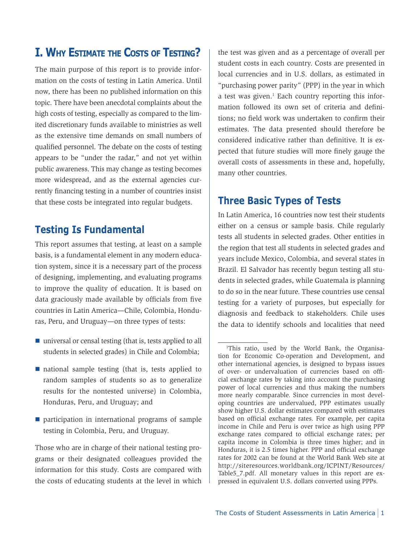## **I. Why Estimate the Costs of Testing?**

The main purpose of this report is to provide information on the costs of testing in Latin America. Until now, there has been no published information on this topic. There have been anecdotal complaints about the high costs of testing, especially as compared to the limited discretionary funds available to ministries as well as the extensive time demands on small numbers of qualified personnel. The debate on the costs of testing appears to be "under the radar," and not yet within public awareness. This may change as testing becomes more widespread, and as the external agencies currently financing testing in a number of countries insist that these costs be integrated into regular budgets.

### **Testing Is Fundamental**

This report assumes that testing, at least on a sample basis, is a fundamental element in any modern education system, since it is a necessary part of the process of designing, implementing, and evaluating programs to improve the quality of education. It is based on data graciously made available by officials from five countries in Latin America—Chile, Colombia, Honduras, Peru, and Uruguay—on three types of tests:

- universal or censal testing (that is, tests applied to all students in selected grades) in Chile and Colombia;
- national sample testing (that is, tests applied to random samples of students so as to generalize results for the nontested universe) in Colombia, Honduras, Peru, and Uruguay; and
- **participation in international programs of sample** testing in Colombia, Peru, and Uruguay.

Those who are in charge of their national testing programs or their designated colleagues provided the information for this study. Costs are compared with the costs of educating students at the level in which the test was given and as a percentage of overall per student costs in each country. Costs are presented in local currencies and in U.S. dollars, as estimated in "purchasing power parity" (PPP) in the year in which a test was given.<sup>1</sup> Each country reporting this information followed its own set of criteria and definitions; no field work was undertaken to confirm their estimates. The data presented should therefore be considered indicative rather than definitive. It is expected that future studies will more finely gauge the overall costs of assessments in these and, hopefully, many other countries.

## **Three Basic Types of Tests**

In Latin America, 16 countries now test their students either on a census or sample basis. Chile regularly tests all students in selected grades. Other entities in the region that test all students in selected grades and years include Mexico, Colombia, and several states in Brazil. El Salvador has recently begun testing all students in selected grades, while Guatemala is planning to do so in the near future. These countries use censal testing for a variety of purposes, but especially for diagnosis and feedback to stakeholders. Chile uses the data to identify schools and localities that need

<sup>1</sup> This ratio, used by the World Bank, the Organisation for Economic Co-operation and Development, and other international agencies, is designed to bypass issues of over- or undervaluation of currencies based on official exchange rates by taking into account the purchasing power of local currencies and thus making the numbers more nearly comparable. Since currencies in most developing countries are undervalued, PPP estimates usually show higher U.S. dollar estimates compared with estimates based on official exchange rates. For example, per capita income in Chile and Peru is over twice as high using PPP exchange rates compared to official exchange rates; per capita income in Colombia is three times higher; and in Honduras, it is 2.5 times higher. PPP and official exchange rates for 2002 can be found at the World Bank Web site at http://siteresources.worldbank.org/ICPINT/Resources/ Table5 7.pdf. All monetary values in this report are expressed in equivalent U.S. dollars converted using PPPs.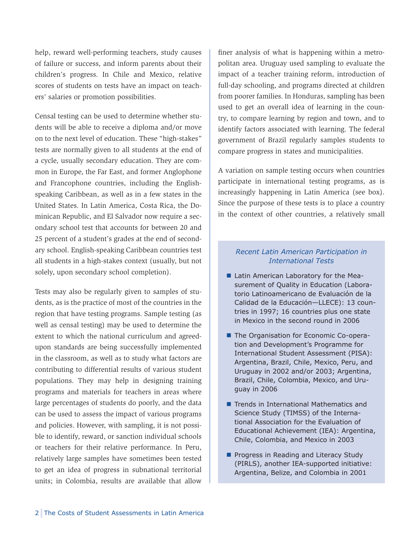help, reward well-performing teachers, study causes of failure or success, and inform parents about their children's progress. In Chile and Mexico, relative scores of students on tests have an impact on teachers' salaries or promotion possibilities.

Censal testing can be used to determine whether students will be able to receive a diploma and/or move on to the next level of education. These "high-stakes" tests are normally given to all students at the end of a cycle, usually secondary education. They are common in Europe, the Far East, and former Anglophone and Francophone countries, including the Englishspeaking Caribbean, as well as in a few states in the United States. In Latin America, Costa Rica, the Dominican Republic, and El Salvador now require a secondary school test that accounts for between 20 and 25 percent of a student's grades at the end of secondary school. English-speaking Caribbean countries test all students in a high-stakes context (usually, but not solely, upon secondary school completion).

Tests may also be regularly given to samples of students, as is the practice of most of the countries in the region that have testing programs. Sample testing (as well as censal testing) may be used to determine the extent to which the national curriculum and agreedupon standards are being successfully implemented in the classroom, as well as to study what factors are contributing to differential results of various student populations. They may help in designing training programs and materials for teachers in areas where large percentages of students do poorly, and the data can be used to assess the impact of various programs and policies. However, with sampling, it is not possible to identify, reward, or sanction individual schools or teachers for their relative performance. In Peru, relatively large samples have sometimes been tested to get an idea of progress in subnational territorial units; in Colombia, results are available that allow

finer analysis of what is happening within a metropolitan area. Uruguay used sampling to evaluate the impact of a teacher training reform, introduction of full-day schooling, and programs directed at children from poorer families. In Honduras, sampling has been used to get an overall idea of learning in the country, to compare learning by region and town, and to identify factors associated with learning. The federal government of Brazil regularly samples students to compare progress in states and municipalities.

A variation on sample testing occurs when countries participate in international testing programs, as is increasingly happening in Latin America (see box). Since the purpose of these tests is to place a country in the context of other countries, a relatively small

#### *Recent Latin American Participation in International Tests*

- Latin American Laboratory for the Measurement of Quality in Education (Laboratorio Latinoamericano de Evaluación de la Calidad de la Educación—LLECE): 13 countries in 1997; 16 countries plus one state in Mexico in the second round in 2006
- **The Organisation for Economic Co-opera**tion and Development's Programme for International Student Assessment (PISA): Argentina, Brazil, Chile, Mexico, Peru, and Uruguay in 2002 and/or 2003; Argentina, Brazil, Chile, Colombia, Mexico, and Uruguay in 2006
- **Tends in International Mathematics and** Science Study (TIMSS) of the International Association for the Evaluation of Educational Achievement (IEA): Argentina, Chile, Colombia, and Mexico in 2003
- **Progress in Reading and Literacy Study** (PIRLS), another IEA-supported initiative: Argentina, Belize, and Colombia in 2001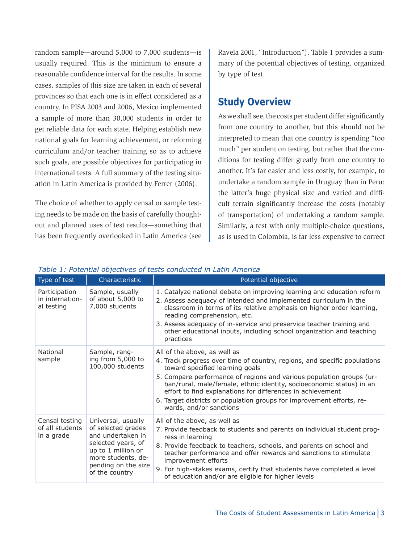random sample—around 5,000 to 7,000 students—is usually required. This is the minimum to ensure a reasonable confidence interval for the results. In some cases, samples of this size are taken in each of several provinces so that each one is in effect considered as a country. In PISA 2003 and 2006, Mexico implemented a sample of more than 30,000 students in order to get reliable data for each state. Helping establish new national goals for learning achievement, or reforming curriculum and/or teacher training so as to achieve such goals, are possible objectives for participating in international tests. A full summary of the testing situation in Latin America is provided by Ferrer (2006).

The choice of whether to apply censal or sample testing needs to be made on the basis of carefully thoughtout and planned uses of test results—something that has been frequently overlooked in Latin America (see Ravela 2001, "Introduction"). Table 1 provides a summary of the potential objectives of testing, organized by type of test.

### **Study Overview**

As we shall see, the costs per student differ significantly from one country to another, but this should not be interpreted to mean that one country is spending "too much" per student on testing, but rather that the conditions for testing differ greatly from one country to another. It's far easier and less costly, for example, to undertake a random sample in Uruguay than in Peru: the latter's huge physical size and varied and difficult terrain significantly increase the costs (notably of transportation) of undertaking a random sample. Similarly, a test with only multiple-choice questions, as is used in Colombia, is far less expensive to correct

| Type of test                                    | Characteristic                                                                                                                                                           | Potential objective                                                                                                                                                                                                                                                                                                                                                                                                                                            |
|-------------------------------------------------|--------------------------------------------------------------------------------------------------------------------------------------------------------------------------|----------------------------------------------------------------------------------------------------------------------------------------------------------------------------------------------------------------------------------------------------------------------------------------------------------------------------------------------------------------------------------------------------------------------------------------------------------------|
| Participation<br>in internation-<br>al testing  | Sample, usually<br>of about 5,000 to<br>7,000 students                                                                                                                   | 1. Catalyze national debate on improving learning and education reform<br>2. Assess adequacy of intended and implemented curriculum in the<br>classroom in terms of its relative emphasis on higher order learning,<br>reading comprehension, etc.<br>3. Assess adequacy of in-service and preservice teacher training and<br>other educational inputs, including school organization and teaching<br>practices                                                |
| National<br>sample                              | Sample, rang-<br>ing from 5,000 to<br>100,000 students                                                                                                                   | All of the above, as well as<br>4. Track progress over time of country, regions, and specific populations<br>toward specified learning goals<br>5. Compare performance of regions and various population groups (ur-<br>ban/rural, male/female, ethnic identity, socioeconomic status) in an<br>effort to find explanations for differences in achievement<br>6. Target districts or population groups for improvement efforts, re-<br>wards, and/or sanctions |
| Censal testing<br>of all students<br>in a grade | Universal, usually<br>of selected grades<br>and undertaken in<br>selected years, of<br>up to 1 million or<br>more students, de-<br>pending on the size<br>of the country | All of the above, as well as<br>7. Provide feedback to students and parents on individual student prog-<br>ress in learning<br>8. Provide feedback to teachers, schools, and parents on school and<br>teacher performance and offer rewards and sanctions to stimulate<br>improvement efforts<br>9. For high-stakes exams, certify that students have completed a level<br>of education and/or are eligible for higher levels                                  |

#### *Table 1: Potential objectives of tests conducted in Latin America*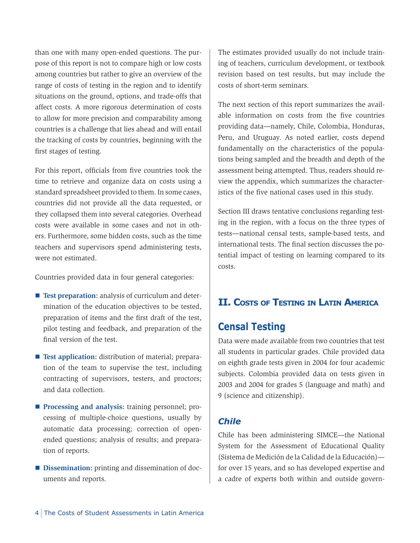than one with many open-ended questions. The purpose of this report is not to compare high or low costs among countries but rather to give an overview of the range of costs of testing in the region and to identify situations on the ground, options, and trade-offs that affect costs. A more rigorous determination of costs to allow for more precision and comparability among countries is a challenge that lies ahead and will entail the tracking of costs by countries, beginning with the first stages of testing.

For this report, officials from five countries took the time to retrieve and organize data on costs using a standard spreadsheet provided to them. In some cases, countries did not provide all the data requested, or they collapsed them into several categories. Overhead costs were available in some cases and not in others. Furthermore, some hidden costs, such as the time teachers and supervisors spend administering tests, were not estimated.

Countries provided data in four general categories:

- **Test preparation:** analysis of curriculum and determination of the education objectives to be tested, preparation of items and the first draft of the test, pilot testing and feedback, and preparation of the final version of the test.
- **Test application:** distribution of material; preparation of the team to supervise the test, including contracting of supervisors, testers, and proctors; and data collection.
- **Processing and analysis:** training personnel; processing of multiple-choice questions, usually by automatic data processing; correction of openended questions; analysis of results; and preparation of reports.
- **Dissemination:** printing and dissemination of documents and reports.

The estimates provided usually do not include training of teachers, curriculum development, or textbook revision based on test results, but may include the costs of short-term seminars.

The next section of this report summarizes the available information on costs from the five countries providing data—namely, Chile, Colombia, Honduras, Peru, and Uruguay. As noted earlier, costs depend fundamentally on the characteristics of the populations being sampled and the breadth and depth of the assessment being attempted. Thus, readers should review the appendix, which summarizes the characteristics of the five national cases used in this study.

Section III draws tentative conclusions regarding testing in the region, with a focus on the three types of tests—national censal tests, sample-based tests, and international tests. The final section discusses the potential impact of testing on learning compared to its costs.

## **II. Costs of Testing in Latin America**

## **Censal Testing**

Data were made available from two countries that test all students in particular grades. Chile provided data on eighth grade tests given in 2004 for four academic subjects. Colombia provided data on tests given in 2003 and 2004 for grades 5 (language and math) and 9 (science and citizenship).

### *Chile*

Chile has been administering SIMCE—the National System for the Assessment of Educational Quality (Sistema de Medición de la Calidad de la Educación) for over 15 years, and so has developed expertise and a cadre of experts both within and outside govern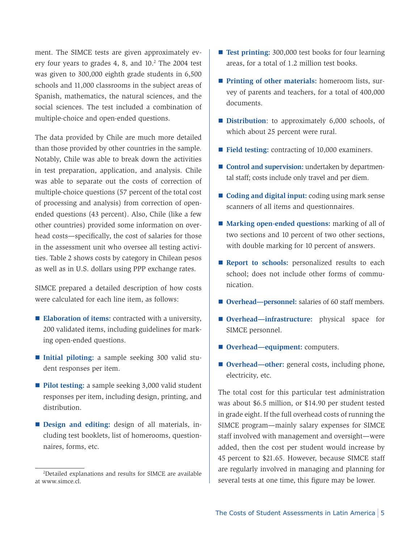ment. The SIMCE tests are given approximately every four years to grades  $4, 8,$  and  $10.<sup>2</sup>$  The 2004 test was given to 300,000 eighth grade students in 6,500 schools and 11,000 classrooms in the subject areas of Spanish, mathematics, the natural sciences, and the social sciences. The test included a combination of multiple-choice and open-ended questions.

The data provided by Chile are much more detailed than those provided by other countries in the sample. Notably, Chile was able to break down the activities in test preparation, application, and analysis. Chile was able to separate out the costs of correction of multiple-choice questions (57 percent of the total cost of processing and analysis) from correction of openended questions (43 percent). Also, Chile (like a few other countries) provided some information on overhead costs—specifically, the cost of salaries for those in the assessment unit who oversee all testing activities. Table 2 shows costs by category in Chilean pesos as well as in U.S. dollars using PPP exchange rates.

SIMCE prepared a detailed description of how costs were calculated for each line item, as follows:

- **Elaboration of items:** contracted with a university, 200 validated items, including guidelines for marking open-ended questions.
- **Initial piloting:** a sample seeking 300 valid stu dent responses per item.
- Pilot testing: a sample seeking 3,000 valid student responses per item, including design, printing, and distribution.
- **Design and editing:** design of all materials, in cluding test booklets, list of homerooms, questionnaires, forms, etc.
- **Test printing:** 300,000 test books for four learning areas, for a total of 1.2 million test books.
- **Printing of other materials:** homeroom lists, survey of parents and teachers, for a total of 400,000 documents.
- **Distribution**: to approximately 6,000 schools, of which about 25 percent were rural.
- Field testing: contracting of 10,000 examiners.
- **Control and supervision:** undertaken by departmental staff; costs include only travel and per diem.
- **Coding and digital input:** coding using mark sense scanners of all items and questionnaires.
- **Marking open-ended questions:** marking of all of two sections and 10 percent of two other sections, with double marking for 10 percent of answers.
- **Report to schools:** personalized results to each school; does not include other forms of communication.
- **Overhead—personnel:** salaries of 60 staff members.
- **Overhead—infrastructure:** physical space for SIMCE personnel.
- Overhead—equipment: computers.
- **Overhead—other:** general costs, including phone, electricity, etc.

The total cost for this particular test administration was about \$6.5 million, or \$14.90 per student tested in grade eight. If the full overhead costs of running the SIMCE program—mainly salary expenses for SIMCE staff involved with management and oversight—were added, then the cost per student would increase by 45 percent to \$21.65. However, because SIMCE staff are regularly involved in managing and planning for several tests at one time, this figure may be lower.

<sup>2</sup> Detailed explanations and results for SIMCE are available at www.simce.cl.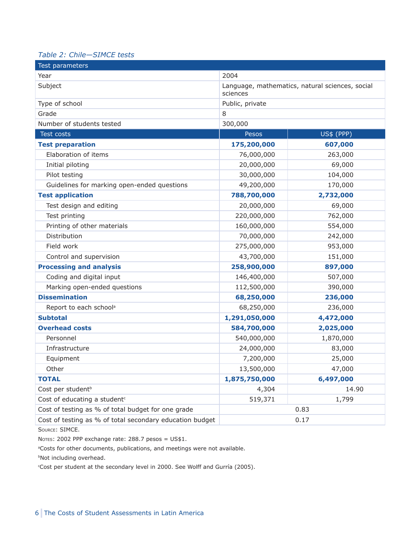#### *Table 2: Chile—SIMCE tests*

| Test parameters                                          |                 |                                                 |  |
|----------------------------------------------------------|-----------------|-------------------------------------------------|--|
| Year                                                     | 2004            |                                                 |  |
| Subject                                                  | sciences        | Language, mathematics, natural sciences, social |  |
| Type of school                                           | Public, private |                                                 |  |
| Grade                                                    | 8               |                                                 |  |
| Number of students tested                                | 300,000         |                                                 |  |
| Test costs                                               | Pesos           | <b>US\$ (PPP)</b>                               |  |
| <b>Test preparation</b>                                  | 175,200,000     | 607,000                                         |  |
| Elaboration of items                                     | 76,000,000      | 263,000                                         |  |
| Initial piloting                                         | 20,000,000      | 69,000                                          |  |
| Pilot testing                                            | 30,000,000      | 104,000                                         |  |
| Guidelines for marking open-ended questions              | 49,200,000      | 170,000                                         |  |
| <b>Test application</b>                                  | 788,700,000     | 2,732,000                                       |  |
| Test design and editing                                  | 20,000,000      | 69,000                                          |  |
| Test printing                                            | 220,000,000     | 762,000                                         |  |
| Printing of other materials                              | 160,000,000     | 554,000                                         |  |
| Distribution                                             | 70,000,000      | 242,000                                         |  |
| Field work                                               | 275,000,000     | 953,000                                         |  |
| Control and supervision                                  | 43,700,000      | 151,000                                         |  |
| <b>Processing and analysis</b>                           | 258,900,000     | 897,000                                         |  |
| Coding and digital input                                 | 146,400,000     | 507,000                                         |  |
| Marking open-ended questions                             | 112,500,000     | 390,000                                         |  |
| <b>Dissemination</b>                                     | 68,250,000      | 236,000                                         |  |
| Report to each school <sup>a</sup>                       | 68,250,000      | 236,000                                         |  |
| <b>Subtotal</b>                                          | 1,291,050,000   | 4,472,000                                       |  |
| <b>Overhead costs</b>                                    | 584,700,000     | 2,025,000                                       |  |
| Personnel                                                | 540,000,000     | 1,870,000                                       |  |
| Infrastructure                                           | 24,000,000      | 83,000                                          |  |
| Equipment                                                | 7,200,000       | 25,000                                          |  |
| Other                                                    | 13,500,000      | 47,000                                          |  |
| <b>TOTAL</b>                                             | 1,875,750,000   | 6,497,000                                       |  |
| Cost per student <sup>b</sup>                            | 4,304           | 14.90                                           |  |
| Cost of educating a student <sup>c</sup>                 | 519,371         | 1,799                                           |  |
| Cost of testing as % of total budget for one grade       |                 | 0.83                                            |  |
| Cost of testing as % of total secondary education budget | 0.17            |                                                 |  |

Source: SIMCE.

Notes: 2002 PPP exchange rate: 288.7 pesos = US\$1.

aCosts for other documents, publications, and meetings were not available.

**bNot including overhead.** 

c Cost per student at the secondary level in 2000. See Wolff and Gurría (2005).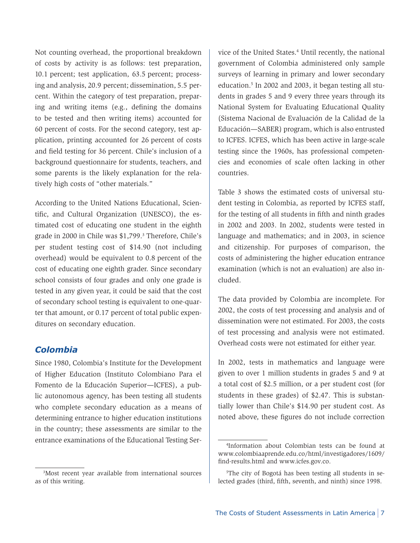Not counting overhead, the proportional breakdown of costs by activity is as follows: test preparation, 10.1 percent; test application, 63.5 percent; processing and analysis, 20.9 percent; dissemination, 5.5 percent. Within the category of test preparation, preparing and writing items (e.g., defining the domains to be tested and then writing items) accounted for 60 percent of costs. For the second category, test application, printing accounted for 26 percent of costs and field testing for 36 percent. Chile's inclusion of a background questionnaire for students, teachers, and some parents is the likely explanation for the relatively high costs of "other materials."

According to the United Nations Educational, Scientific, and Cultural Organization (UNESCO), the estimated cost of educating one student in the eighth grade in 2000 in Chile was \$1,799.<sup>3</sup> Therefore, Chile's per student testing cost of \$14.90 (not including overhead) would be equivalent to 0.8 percent of the cost of educating one eighth grader. Since secondary school consists of four grades and only one grade is tested in any given year, it could be said that the cost of secondary school testing is equivalent to one-quarter that amount, or 0.17 percent of total public expenditures on secondary education.

### *Colombia*

Since 1980, Colombia's Institute for the Development of Higher Education (Instituto Colombiano Para el Fomento de la Educación Superior—ICFES), a public autonomous agency, has been testing all students who complete secondary education as a means of determining entrance to higher education institutions in the country; these assessments are similar to the entrance examinations of the Educational Testing Service of the United States.<sup>4</sup> Until recently, the national government of Colombia administered only sample surveys of learning in primary and lower secondary education.<sup>5</sup> In 2002 and 2003, it began testing all students in grades 5 and 9 every three years through its National System for Evaluating Educational Quality (Sistema Nacional de Evaluación de la Calidad de la Educación—SABER) program, which is also entrusted to ICFES. ICFES, which has been active in large-scale testing since the 1960s, has professional competencies and economies of scale often lacking in other countries.

Table 3 shows the estimated costs of universal student testing in Colombia, as reported by ICFES staff, for the testing of all students in fifth and ninth grades in 2002 and 2003. In 2002, students were tested in language and mathematics; and in 2003, in science and citizenship. For purposes of comparison, the costs of administering the higher education entrance examination (which is not an evaluation) are also included.

The data provided by Colombia are incomplete. For 2002, the costs of test processing and analysis and of dissemination were not estimated. For 2003, the costs of test processing and analysis were not estimated. Overhead costs were not estimated for either year.

In 2002, tests in mathematics and language were given to over 1 million students in grades 5 and 9 at a total cost of \$2.5 million, or a per student cost (for students in these grades) of \$2.47. This is substantially lower than Chile's \$14.90 per student cost. As noted above, these figures do not include correction

<sup>3</sup> Most recent year available from international sources as of this writing.

<sup>4</sup> Information about Colombian tests can be found at www.colombiaaprende.edu.co/html/investigadores/1609/ find-results.html and www.icfes.gov.co.

<sup>5</sup> The city of Bogotá has been testing all students in selected grades (third, fifth, seventh, and ninth) since 1998.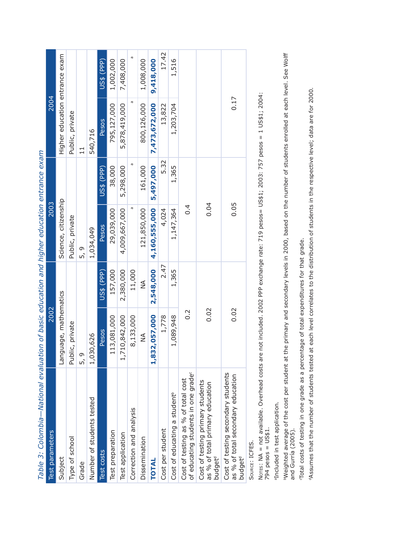| Test parameters                                                                                      | 2002                  |            | 2003                 |            | 2004                           |            |
|------------------------------------------------------------------------------------------------------|-----------------------|------------|----------------------|------------|--------------------------------|------------|
| Subject                                                                                              | Language, mathematics |            | Science, citizenship |            | Higher education entrance exam |            |
| Type of school                                                                                       | Public, private       |            | Public, private      |            | Public, private                |            |
| Grade                                                                                                | $\circ$<br>ທັ         |            | 5, a                 |            | $\overline{1}$                 |            |
| Number of students tested                                                                            | ,030,626              |            | 1,034,049            |            | 540,716                        |            |
| Test costs                                                                                           | <b>Pesos</b>          | US\$ (PPP) | Pesos                | US\$ (PPP) | Pesos                          | US\$ (PPP) |
| Test preparation                                                                                     | 113,081,000           | 157,000    | 29,039,000           | 38,000     | 795,127,000                    | 1,002,000  |
| Test application                                                                                     | 1,710,842,000         | 2,380,000  | 4,009,667,000        | 5,298,000  | 5,878,419,000                  | 7,408,000  |
| Correction and analysis                                                                              | 8,133,000             | 11,000     | œ                    | æ          | ā                              |            |
| Dissemination                                                                                        | ≸                     | ≸          | 121,850,000          | 161,000    | 800,126,000                    | 1,008,000  |
| <b>TOTAL</b>                                                                                         | 832,057,000           | 2,548,000  | 4,160,555,000        | 5,497,000  | 7,473,672,000                  | 9,418,000  |
| Cost per student                                                                                     | 1,778                 | 2.47       | 4,024                | 5.32       | 13,822                         | 17.42      |
| Cost of educating a student <sup>b</sup>                                                             | 1,089,948             | 1,365      | 1,147,364            | 1,365      | 1,203,704                      | 1,516      |
| of educating students in one grade <sup>c</sup><br>Cost of testing as % of total cost                | $0.\overline{2}$      |            | 0.4                  |            |                                |            |
| Cost of testing primary students<br>as % of total primary education<br><b>budget<sup>d</sup></b>     | 0.02                  |            | 0.04                 |            |                                |            |
| Cost of testing secondary students<br>as % of total secondary education<br><b>budget<sup>d</sup></b> | 0.02                  |            | 0.05                 |            | 0.17                           |            |
| SOURCE' ICFFS                                                                                        |                       |            |                      |            |                                |            |

Table 3: Colombia-National evaluation of basic education and higher education entrance exam *Table 3: Colombia—National evaluation of basic education and higher education entrance exam*

Source: ICFES. KUE.ILLIJ.

Notes: NA = not available. Overhead costs are not included. 2002 PPP exchange rate: 719 pesos= US\$1; 2003: 757 pesos = 1 US\$1; 2004: Nores: NA = not available. Overhead costs are not included. 2002 PPP exchange rate: 719 pesos= US\$1; 2003: 757 pesos = 1 US\$1; 2004: 794  $pessos = US$1.$ 794 pesos = US\$1.

aIncluded in test application. aIncluded in test application.

**"Weighted average of the cost per student at the primary and secondary levels in 2000, based on the number of students enrolled at each level. See Wolff<br>and Gurría (2005).** bWeighted average of the cost per student at the primary and secondary levels in 2000, based on the number of students enrolled at each level. See Wolff and Gurría (2005).

Total costs of testing in one grade as a percentage of total expenditures for that grade. cTotal costs of testing in one grade as a percentage of total expenditures for that grade.

"Assumes that the number of students tested at each level correlates to the distribution of students in the respective level; data are for 2000. dAssumes that the number of students tested at each level correlates to the distribution of students in the respective level; data are for 2000.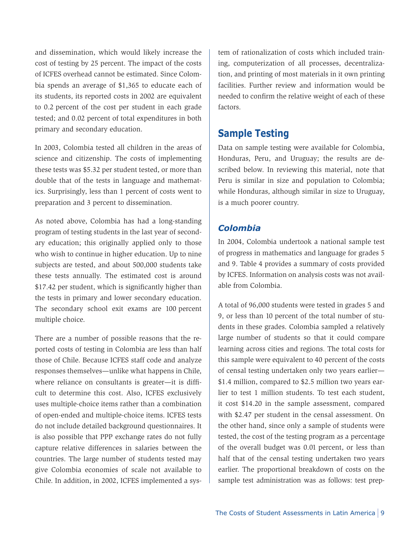and dissemination, which would likely increase the cost of testing by 25 percent. The impact of the costs of ICFES overhead cannot be estimated. Since Colombia spends an average of \$1,365 to educate each of its students, its reported costs in 2002 are equivalent to 0.2 percent of the cost per student in each grade tested; and 0.02 percent of total expenditures in both primary and secondary education.

In 2003, Colombia tested all children in the areas of science and citizenship. The costs of implementing these tests was \$5.32 per student tested, or more than double that of the tests in language and mathematics. Surprisingly, less than 1 percent of costs went to preparation and 3 percent to dissemination.

As noted above, Colombia has had a long-standing program of testing students in the last year of secondary education; this originally applied only to those who wish to continue in higher education. Up to nine subjects are tested, and about 500,000 students take these tests annually. The estimated cost is around \$17.42 per student, which is significantly higher than the tests in primary and lower secondary education. The secondary school exit exams are 100 percent multiple choice.

There are a number of possible reasons that the reported costs of testing in Colombia are less than half those of Chile. Because ICFES staff code and analyze responses themselves—unlike what happens in Chile, where reliance on consultants is greater—it is difficult to determine this cost. Also, ICFES exclusively uses multiple-choice items rather than a combination of open-ended and multiple-choice items. ICFES tests do not include detailed background questionnaires. It is also possible that PPP exchange rates do not fully capture relative differences in salaries between the countries. The large number of students tested may give Colombia economies of scale not available to Chile. In addition, in 2002, ICFES implemented a system of rationalization of costs which included training, computerization of all processes, decentralization, and printing of most materials in it own printing facilities. Further review and information would be needed to confirm the relative weight of each of these factors.

### **Sample Testing**

Data on sample testing were available for Colombia, Honduras, Peru, and Uruguay; the results are described below. In reviewing this material, note that Peru is similar in size and population to Colombia; while Honduras, although similar in size to Uruguay, is a much poorer country.

### *Colombia*

In 2004, Colombia undertook a national sample test of progress in mathematics and language for grades 5 and 9. Table 4 provides a summary of costs provided by ICFES. Information on analysis costs was not available from Colombia.

A total of 96,000 students were tested in grades 5 and 9, or less than 10 percent of the total number of students in these grades. Colombia sampled a relatively large number of students so that it could compare learning across cities and regions. The total costs for this sample were equivalent to 40 percent of the costs of censal testing undertaken only two years earlier— \$1.4 million, compared to \$2.5 million two years earlier to test 1 million students. To test each student, it cost \$14.20 in the sample assessment, compared with \$2.47 per student in the censal assessment. On the other hand, since only a sample of students were tested, the cost of the testing program as a percentage of the overall budget was 0.01 percent, or less than half that of the censal testing undertaken two years earlier. The proportional breakdown of costs on the sample test administration was as follows: test prep-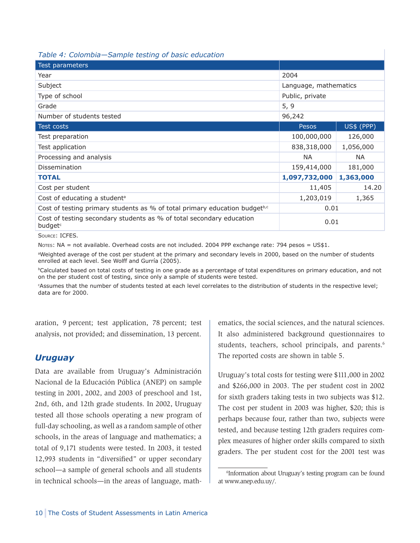#### *Table 4: Colombia—Sample testing of basic education*

| Test parameters                                                                             |                       |            |  |
|---------------------------------------------------------------------------------------------|-----------------------|------------|--|
| Year                                                                                        | 2004                  |            |  |
| Subject                                                                                     | Language, mathematics |            |  |
| Type of school                                                                              | Public, private       |            |  |
| Grade                                                                                       | 5, 9                  |            |  |
| Number of students tested                                                                   | 96,242                |            |  |
| Test costs                                                                                  | Pesos                 | US\$ (PPP) |  |
| Test preparation                                                                            | 100,000,000           | 126,000    |  |
| Test application                                                                            | 838,318,000           | 1,056,000  |  |
| Processing and analysis                                                                     | NA.                   | NA.        |  |
| <b>Dissemination</b>                                                                        | 159,414,000           | 181,000    |  |
| <b>TOTAL</b>                                                                                | 1,097,732,000         | 1,363,000  |  |
| Cost per student                                                                            | 11,405                | 14.20      |  |
| Cost of educating a student <sup>a</sup>                                                    | 1,203,019             | 1,365      |  |
| Cost of testing primary students as % of total primary education budget <sup>b,c</sup>      | 0.01                  |            |  |
| Cost of testing secondary students as % of total secondary education<br>budget <sup>c</sup> | 0.01                  |            |  |
|                                                                                             |                       |            |  |

Source: ICFES.

Notes: NA = not available. Overhead costs are not included. 2004 PPP exchange rate: 794 pesos = US\$1.

aWeighted average of the cost per student at the primary and secondary levels in 2000, based on the number of students enrolled at each level. See Wolff and Gurría (2005).

**DCalculated based on total costs of testing in one grade as a percentage of total expenditures on primary education, and not** on the per student cost of testing, since only a sample of students were tested.

c Assumes that the number of students tested at each level correlates to the distribution of students in the respective level; data are for 2000.

aration, 9 percent; test application, 78 percent; test analysis, not provided; and dissemination, 13 percent.

### *Uruguay*

Data are available from Uruguay's Administración Nacional de la Educación Pública (ANEP) on sample testing in 2001, 2002, and 2003 of preschool and 1st, 2nd, 6th, and 12th grade students. In 2002, Uruguay tested all those schools operating a new program of full-day schooling, as well as a random sample of other schools, in the areas of language and mathematics; a total of 9,171 students were tested. In 2003, it tested 12,993 students in "diversified" or upper secondary school—a sample of general schools and all students in technical schools—in the areas of language, math-

ematics, the social sciences, and the natural sciences. It also administered background questionnaires to students, teachers, school principals, and parents.<sup>6</sup> The reported costs are shown in table 5.

Uruguay's total costs for testing were \$111,000 in 2002 and \$266,000 in 2003. The per student cost in 2002 for sixth graders taking tests in two subjects was \$12. The cost per student in 2003 was higher, \$20; this is perhaps because four, rather than two, subjects were tested, and because testing 12th graders requires complex measures of higher order skills compared to sixth graders. The per student cost for the 2001 test was

<sup>6</sup> Information about Uruguay's testing program can be found at www.anep.edu.uy/.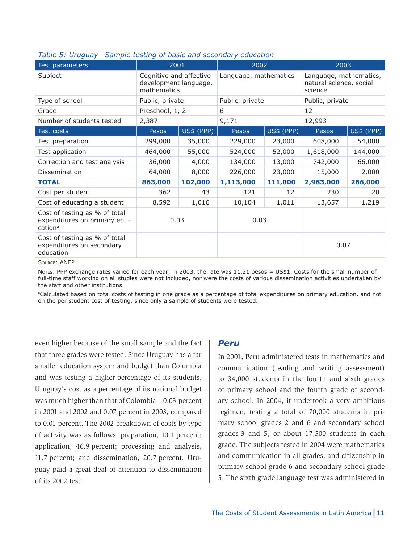| Test parameters                                                                      | 2001                                                            |            | 2002                  |            | 2003                                                         |            |
|--------------------------------------------------------------------------------------|-----------------------------------------------------------------|------------|-----------------------|------------|--------------------------------------------------------------|------------|
| Subject                                                                              | Cognitive and affective<br>development language,<br>mathematics |            | Language, mathematics |            | Language, mathematics,<br>natural science, social<br>science |            |
| Type of school                                                                       | Public, private                                                 |            | Public, private       |            | Public, private                                              |            |
| Grade                                                                                | Preschool, 1, 2                                                 |            | 6                     |            | 12                                                           |            |
| Number of students tested                                                            | 2,387                                                           |            | 9,171                 |            | 12,993                                                       |            |
| Test costs                                                                           | <b>Pesos</b>                                                    | US\$ (PPP) | Pesos                 | US\$ (PPP) | Pesos                                                        | US\$ (PPP) |
| Test preparation                                                                     | 299,000                                                         | 35,000     | 229,000               | 23,000     | 608,000                                                      | 54,000     |
| Test application                                                                     | 464,000                                                         | 55,000     | 524,000               | 52,000     | 1,618,000                                                    | 144,000    |
| Correction and test analysis                                                         | 36,000                                                          | 4,000      | 134,000               | 13,000     | 742,000                                                      | 66,000     |
| Dissemination                                                                        | 64,000                                                          | 8,000      | 226,000<br>23,000     |            | 15,000                                                       | 2,000      |
| <b>TOTAL</b>                                                                         | 863,000                                                         | 102,000    | 1,113,000             | 111,000    | 2,983,000                                                    | 266,000    |
| Cost per student                                                                     | 362                                                             | 43         | 121                   | 12         | 230                                                          | 20         |
| Cost of educating a student                                                          | 8,592                                                           | 1,016      | 10,104                | 1,011      | 13,657                                                       | 1,219      |
| Cost of testing as % of total<br>expenditures on primary edu-<br>cation <sup>a</sup> | 0.03                                                            |            | 0.03                  |            |                                                              |            |
| Cost of testing as % of total<br>expenditures on secondary<br>education              |                                                                 |            |                       |            | 0.07                                                         |            |

#### *Table 5: Uruguay—Sample testing of basic and secondary education*

Source: ANEP.

Notes: PPP exchange rates varied for each year; in 2003, the rate was 11.21 pesos = US\$1. Costs for the small number of full-time staff working on all studies were not included, nor were the costs of various dissemination activities undertaken by the staff and other institutions.

aCalculated based on total costs of testing in one grade as a percentage of total expenditures on primary education, and not on the per student cost of testing, since only a sample of students were tested.

even higher because of the small sample and the fact that three grades were tested. Since Uruguay has a far smaller education system and budget than Colombia and was testing a higher percentage of its students, Uruguay's cost as a percentage of its national budget was much higher than that of Colombia—0.03 percent in 2001 and 2002 and 0.07 percent in 2003, compared to 0.01 percent. The 2002 breakdown of costs by type of activity was as follows: preparation, 10.1 percent; application, 46.9 percent; processing and analysis, 11.7 percent; and dissemination, 20.7 percent. Uruguay paid a great deal of attention to dissemination of its 2002 test.

#### *Peru*

In 2001, Peru administered tests in mathematics and communication (reading and writing assessment) to 34,000 students in the fourth and sixth grades of primary school and the fourth grade of secondary school. In 2004, it undertook a very ambitious regimen, testing a total of 70,000 students in primary school grades 2 and 6 and secondary school grades 3 and 5, or about 17,500 students in each grade. The subjects tested in 2004 were mathematics and communication in all grades, and citizenship in primary school grade 6 and secondary school grade 5. The sixth grade language test was administered in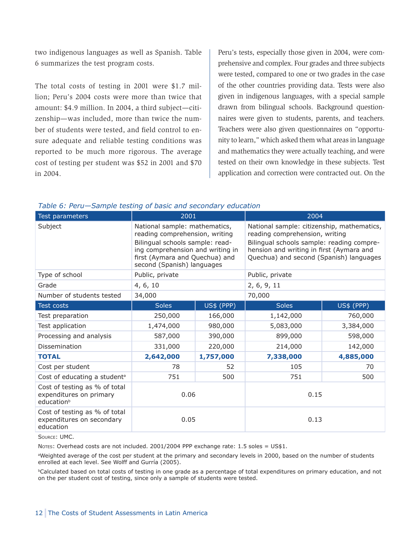two indigenous languages as well as Spanish. Table 6 summarizes the test program costs.

The total costs of testing in 2001 were \$1.7 million; Peru's 2004 costs were more than twice that amount: \$4.9 million. In 2004, a third subject—citizenship—was included, more than twice the number of students were tested, and field control to ensure adequate and reliable testing conditions was reported to be much more rigorous. The average cost of testing per student was \$52 in 2001 and \$70 in 2004.

Peru's tests, especially those given in 2004, were comprehensive and complex. Four grades and three subjects were tested, compared to one or two grades in the case of the other countries providing data. Tests were also given in indigenous languages, with a special sample drawn from bilingual schools. Background questionnaires were given to students, parents, and teachers. Teachers were also given questionnaires on "opportunity to learn," which asked them what areas in language and mathematics they were actually teaching, and were tested on their own knowledge in these subjects. Test application and correction were contracted out. On the

| Test parameters                                                                    | 2001                                                                                                                                                                  |           | 2004                                                                                                                                                                                                                                              |            |  |
|------------------------------------------------------------------------------------|-----------------------------------------------------------------------------------------------------------------------------------------------------------------------|-----------|---------------------------------------------------------------------------------------------------------------------------------------------------------------------------------------------------------------------------------------------------|------------|--|
| Subject                                                                            | reading comprehension, writing<br>Bilingual schools sample: read-<br>ing comprehension and writing in<br>first (Aymara and Quechua) and<br>second (Spanish) languages |           | National sample: citizenship, mathematics,<br>National sample: mathematics,<br>reading comprehension, writing<br>Bilingual schools sample: reading compre-<br>hension and writing in first (Aymara and<br>Quechua) and second (Spanish) languages |            |  |
| Type of school                                                                     | Public, private                                                                                                                                                       |           | Public, private                                                                                                                                                                                                                                   |            |  |
| Grade                                                                              | 4, 6, 10                                                                                                                                                              |           | 2, 6, 9, 11                                                                                                                                                                                                                                       |            |  |
| Number of students tested                                                          | 34,000                                                                                                                                                                |           | 70,000                                                                                                                                                                                                                                            |            |  |
| <b>Test costs</b>                                                                  | US\$ (PPP)<br><b>Soles</b>                                                                                                                                            |           | <b>Soles</b>                                                                                                                                                                                                                                      | US\$ (PPP) |  |
| Test preparation                                                                   | 250,000                                                                                                                                                               | 166,000   | 1,142,000                                                                                                                                                                                                                                         | 760,000    |  |
| Test application                                                                   | 1,474,000                                                                                                                                                             | 980,000   | 5,083,000                                                                                                                                                                                                                                         | 3,384,000  |  |
| Processing and analysis                                                            | 587,000<br>390,000                                                                                                                                                    |           | 899,000                                                                                                                                                                                                                                           | 598,000    |  |
| Dissemination                                                                      | 331,000<br>220,000                                                                                                                                                    |           | 214,000                                                                                                                                                                                                                                           | 142,000    |  |
| <b>TOTAL</b>                                                                       | 2,642,000                                                                                                                                                             | 1,757,000 | 7,338,000                                                                                                                                                                                                                                         | 4,885,000  |  |
| Cost per student                                                                   | 78                                                                                                                                                                    | 52        | 105                                                                                                                                                                                                                                               | 70         |  |
| Cost of educating a student <sup>a</sup>                                           | 751                                                                                                                                                                   | 500       | 751                                                                                                                                                                                                                                               | 500        |  |
| Cost of testing as % of total<br>expenditures on primary<br>education <sup>b</sup> | 0.06                                                                                                                                                                  |           | 0.15                                                                                                                                                                                                                                              |            |  |
| Cost of testing as % of total<br>expenditures on secondary<br>education            | 0.05                                                                                                                                                                  |           | 0.13                                                                                                                                                                                                                                              |            |  |

Source: UMC.

NOTES: Overhead costs are not included. 2001/2004 PPP exchange rate: 1.5 soles =  $US$1$ .

aWeighted average of the cost per student at the primary and secondary levels in 2000, based on the number of students enrolled at each level. See Wolff and Gurría (2005).

bCalculated based on total costs of testing in one grade as a percentage of total expenditures on primary education, and not on the per student cost of testing, since only a sample of students were tested.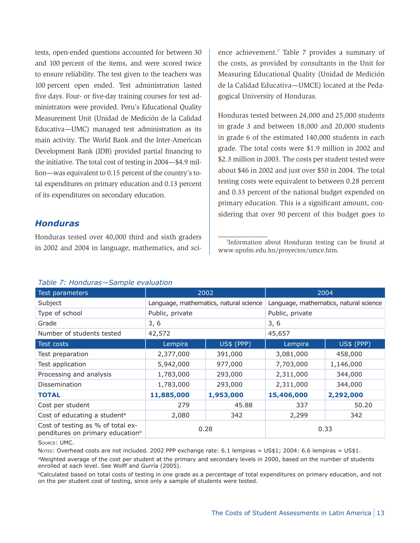tests, open-ended questions accounted for between 30 and 100 percent of the items, and were scored twice to ensure reliability. The test given to the teachers was 100 percent open ended. Test administration lasted five days. Four- or five-day training courses for test administrators were provided. Peru's Educational Quality Measurement Unit (Unidad de Medición de la Calidad Educativa—UMC) managed test administration as its main activity. The World Bank and the Inter-American Development Bank (IDB) provided partial financing to the initiative. The total cost of testing in 2004—\$4.9 million—was equivalent to 0.15 percent of the country's total expenditures on primary education and 0.13 percent of its expenditures on secondary education.

### *Honduras*

Honduras tested over 40,000 third and sixth graders in 2002 and 2004 in language, mathematics, and science achievement.<sup>7</sup> Table 7 provides a summary of the costs, as provided by consultants in the Unit for Measuring Educational Quality (Unidad de Medición de la Calidad Educativa—UMCE) located at the Pedagogical University of Honduras.

Honduras tested between 24,000 and 25,000 students in grade 3 and between 18,000 and 20,000 students in grade 6 of the estimated 140,000 students in each grade. The total costs were \$1.9 million in 2002 and \$2.3 million in 2003. The costs per student tested were about \$46 in 2002 and just over \$50 in 2004. The total testing costs were equivalent to between 0.28 percent and 0.33 percent of the national budget expended on primary education. This is a significant amount, considering that over 90 percent of this budget goes to

#### 7 Information about Honduran testing can be found at www.upnfm.edu.hn/proyectos/umce.htm.

|  | Table 7: Honduras-Sample evaluation |
|--|-------------------------------------|
|  |                                     |

| rabic 7. Hondards Sample Craftacton |            |                                                                                           |                                        |  |  |  |  |
|-------------------------------------|------------|-------------------------------------------------------------------------------------------|----------------------------------------|--|--|--|--|
| 2002                                |            |                                                                                           | 2004                                   |  |  |  |  |
|                                     |            |                                                                                           | Language, mathematics, natural science |  |  |  |  |
| Public, private                     |            | Public, private                                                                           |                                        |  |  |  |  |
| 3, 6                                |            | 3, 6                                                                                      |                                        |  |  |  |  |
| 42,572                              |            | 45,657                                                                                    |                                        |  |  |  |  |
| Lempira                             | US\$ (PPP) | Lempira                                                                                   | US\$ (PPP)                             |  |  |  |  |
| 2,377,000                           | 391,000    | 3,081,000                                                                                 | 458,000                                |  |  |  |  |
| 5,942,000                           | 977,000    | 7,703,000                                                                                 | 1,146,000                              |  |  |  |  |
| 1,783,000                           | 293,000    | 2,311,000                                                                                 | 344,000                                |  |  |  |  |
| 1,783,000<br>293,000                |            | 2,311,000                                                                                 | 344,000                                |  |  |  |  |
| 11,885,000                          | 1,953,000  | 15,406,000                                                                                | 2,292,000                              |  |  |  |  |
| 279                                 | 45.88      | 337                                                                                       | 50.20                                  |  |  |  |  |
| 2,080                               | 342        | 2,299                                                                                     | 342                                    |  |  |  |  |
| 0.28                                |            | Cost of testing as % of total ex-<br>0.33<br>penditures on primary education <sup>b</sup> |                                        |  |  |  |  |
|                                     |            | Language, mathematics, natural science                                                    |                                        |  |  |  |  |

Source: UMC.

Notes: Overhead costs are not included. 2002 PPP exchange rate: 6.1 lempiras = US\$1; 2004: 6.6 lempiras = US\$1. aWeighted average of the cost per student at the primary and secondary levels in 2000, based on the number of students enrolled at each level. See Wolff and Gurría (2005).

**Calculated based on total costs of testing in one grade as a percentage of total expenditures on primary education, and not** on the per student cost of testing, since only a sample of students were tested.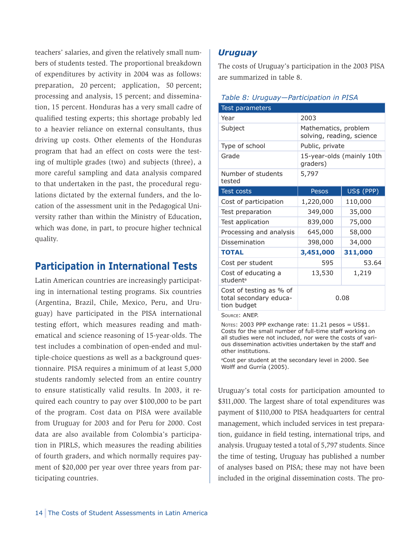teachers' salaries, and given the relatively small numbers of students tested. The proportional breakdown of expenditures by activity in 2004 was as follows: preparation, 20 percent; application, 50 percent; processing and analysis, 15 percent; and dissemination, 15 percent. Honduras has a very small cadre of qualified testing experts; this shortage probably led to a heavier reliance on external consultants, thus driving up costs. Other elements of the Honduras program that had an effect on costs were the testing of multiple grades (two) and subjects (three), a more careful sampling and data analysis compared to that undertaken in the past, the procedural regulations dictated by the external funders, and the location of the assessment unit in the Pedagogical University rather than within the Ministry of Education, which was done, in part, to procure higher technical quality.

### **Participation in International Tests**

Latin American countries are increasingly participating in international testing programs. Six countries (Argentina, Brazil, Chile, Mexico, Peru, and Uruguay) have participated in the PISA international testing effort, which measures reading and mathematical and science reasoning of 15-year-olds. The test includes a combination of open-ended and multiple-choice questions as well as a background questionnaire. PISA requires a minimum of at least 5,000 students randomly selected from an entire country to ensure statistically valid results. In 2003, it required each country to pay over \$100,000 to be part of the program. Cost data on PISA were available from Uruguay for 2003 and for Peru for 2000. Cost data are also available from Colombia's participation in PIRLS, which measures the reading abilities of fourth graders, and which normally requires payment of \$20,000 per year over three years from participating countries.

### *Uruguay*

The costs of Uruguay's participation in the 2003 PISA are summarized in table 8.

#### *Table 8: Uruguay—Participation in PISA*

| Test parameters                                                  |                                                   |                   |  |
|------------------------------------------------------------------|---------------------------------------------------|-------------------|--|
| Year                                                             | 2003                                              |                   |  |
| Subject                                                          | Mathematics, problem<br>solving, reading, science |                   |  |
| Type of school                                                   | Public, private                                   |                   |  |
| Grade                                                            | 15-year-olds (mainly 10th<br>graders)             |                   |  |
| Number of students<br>tested                                     | 5,797                                             |                   |  |
| <b>Test costs</b>                                                | Pesos                                             | <b>US\$ (PPP)</b> |  |
| Cost of participation                                            | 1,220,000                                         | 110,000           |  |
| Test preparation                                                 | 349,000                                           | 35,000            |  |
| Test application                                                 | 75,000<br>839,000                                 |                   |  |
| Processing and analysis                                          | 645,000                                           | 58,000            |  |
| Dissemination                                                    | 398,000                                           | 34,000            |  |
| <b>TOTAL</b>                                                     | 3,451,000                                         | 311,000           |  |
| Cost per student                                                 | 595                                               | 53.64             |  |
| Cost of educating a<br>student <sup>a</sup>                      | 13,530                                            | 1,219             |  |
| Cost of testing as % of<br>total secondary educa-<br>tion budget | 0.08                                              |                   |  |

Source: ANEP.

Notes: 2003 PPP exchange rate: 11.21 pesos = US\$1. Costs for the small number of full-time staff working on all studies were not included, nor were the costs of various dissemination activities undertaken by the staff and other institutions.

<sup>a</sup>Cost per student at the secondary level in 2000. See Wolff and Gurría (2005).

Uruguay's total costs for participation amounted to \$311,000. The largest share of total expenditures was payment of \$110,000 to PISA headquarters for central management, which included services in test preparation, guidance in field testing, international trips, and analysis. Uruguay tested a total of 5,797 students. Since the time of testing, Uruguay has published a number of analyses based on PISA; these may not have been included in the original dissemination costs. The pro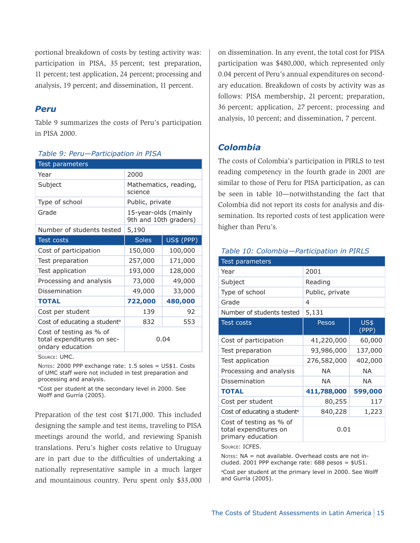portional breakdown of costs by testing activity was: participation in PISA, 35 percent; test preparation, 11 percent; test application, 24 percent; processing and analysis, 19 percent; and dissemination, 11 percent.

### *Peru*

Table 9 summarizes the costs of Peru's participation in PISA 2000.

#### *Table 9: Peru—Participation in PISA*

| 2000                                          |            |  |
|-----------------------------------------------|------------|--|
|                                               |            |  |
| Mathematics, reading,<br>science              |            |  |
| Public, private                               |            |  |
| 15-year-olds (mainly<br>9th and 10th graders) |            |  |
| 5,190                                         |            |  |
| <b>Soles</b>                                  | US\$ (PPP) |  |
| 150,000                                       | 100,000    |  |
| 257,000                                       | 171,000    |  |
| 193,000<br>128,000                            |            |  |
| 73,000                                        | 49,000     |  |
| 49,000                                        | 33,000     |  |
| 722,000                                       | 480,000    |  |
| 139                                           | 92         |  |
| 832                                           | 553        |  |
| 0.04                                          |            |  |
|                                               |            |  |

Source: UMC.

NOTES: 2000 PPP exchange rate: 1.5 soles = US\$1. Costs of UMC staff were not included in test preparation and processing and analysis.

<sup>a</sup>Cost per student at the secondary level in 2000. See Wolff and Gurría (2005).

Preparation of the test cost \$171,000. This included designing the sample and test items, traveling to PISA meetings around the world, and reviewing Spanish translations. Peru's higher costs relative to Uruguay are in part due to the difficulties of undertaking a nationally representative sample in a much larger and mountainous country. Peru spent only \$33,000 on dissemination. In any event, the total cost for PISA participation was \$480,000, which represented only 0.04 percent of Peru's annual expenditures on secondary education. Breakdown of costs by activity was as follows: PISA membership, 21 percent; preparation, 36 percent; application, 27 percent; processing and analysis, 10 percent; and dissemination, 7 percent.

### *Colombia*

The costs of Colombia's participation in PIRLS to test reading competency in the fourth grade in 2001 are similar to those of Peru for PISA participation, as can be seen in table 10—notwithstanding the fact that Colombia did not report its costs for analysis and dissemination. Its reported costs of test application were higher than Peru's.

#### *Table 10: Colombia—Participation in PIRLS*

| Test parameters                                                       |                 |               |  |
|-----------------------------------------------------------------------|-----------------|---------------|--|
| Year                                                                  | 2001            |               |  |
| Subject                                                               | Reading         |               |  |
| Type of school                                                        | Public, private |               |  |
| Grade                                                                 | 4               |               |  |
| Number of students tested                                             | 5,131           |               |  |
| <b>Test costs</b>                                                     | Pesos           | US\$<br>(PPP) |  |
| Cost of participation                                                 | 41,220,000      | 60,000        |  |
| Test preparation                                                      | 93,986,000      | 137,000       |  |
| Test application                                                      | 276,582,000     | 402,000       |  |
| Processing and analysis                                               | NA.             | ΝA            |  |
| Dissemination                                                         | NА              | ΝA            |  |
| <b>TOTAL</b>                                                          | 411,788,000     | 599,000       |  |
| Cost per student                                                      | 80,255          | 117           |  |
| Cost of educating a student <sup>a</sup>                              | 840,228         | 1,223         |  |
| Cost of testing as % of<br>total expenditures on<br>primary education | 0.01            |               |  |

Source: ICFES.

Notes: NA = not available. Overhead costs are not included. 2001 PPP exchange rate:  $688$  pesos =  $$US1.$ 

<sup>a</sup>Cost per student at the primary level in 2000. See Wolff and Gurría (2005).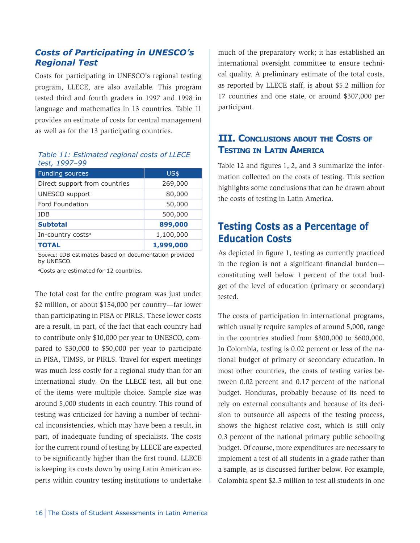### *Costs of Participating in UNESCO's Regional Test*

Costs for participating in UNESCO's regional testing program, LLECE, are also available. This program tested third and fourth graders in 1997 and 1998 in language and mathematics in 13 countries. Table 11 provides an estimate of costs for central management as well as for the 13 participating countries.

#### *Table 11: Estimated regional costs of LLECE test, 1997–99*

| <b>Funding sources</b>        | <b>US\$</b> |
|-------------------------------|-------------|
| Direct support from countries | 269,000     |
| UNESCO support                | 80,000      |
| Ford Foundation               | 50,000      |
| <b>TDB</b>                    | 500,000     |
| <b>Subtotal</b>               | 899,000     |
| In-country costs <sup>a</sup> | 1,100,000   |
| <b>TOTAL</b>                  | 1,999,000   |

Source: IDB estimates based on documentation provided by UNESCO.

aCosts are estimated for 12 countries.

The total cost for the entire program was just under \$2 million, or about \$154,000 per country—far lower than participating in PISA or PIRLS. These lower costs are a result, in part, of the fact that each country had to contribute only \$10,000 per year to UNESCO, compared to \$30,000 to \$50,000 per year to participate in PISA, TIMSS, or PIRLS. Travel for expert meetings was much less costly for a regional study than for an international study. On the LLECE test, all but one of the items were multiple choice. Sample size was around 5,000 students in each country. This round of testing was criticized for having a number of technical inconsistencies, which may have been a result, in part, of inadequate funding of specialists. The costs for the current round of testing by LLECE are expected to be significantly higher than the first round. LLECE is keeping its costs down by using Latin American experts within country testing institutions to undertake much of the preparatory work; it has established an international oversight committee to ensure technical quality. A preliminary estimate of the total costs, as reported by LLECE staff, is about \$5.2 million for 17 countries and one state, or around \$307,000 per participant.

### **III. Conclusions about the Costs of Testing in Latin America**

Table 12 and figures 1, 2, and 3 summarize the information collected on the costs of testing. This section highlights some conclusions that can be drawn about the costs of testing in Latin America.

## **Testing Costs as a Percentage of Education Costs**

As depicted in figure 1, testing as currently practiced in the region is not a significant financial burden constituting well below 1 percent of the total budget of the level of education (primary or secondary) tested.

The costs of participation in international programs, which usually require samples of around 5,000, range in the countries studied from \$300,000 to \$600,000. In Colombia, testing is 0.02 percent or less of the national budget of primary or secondary education. In most other countries, the costs of testing varies between 0.02 percent and 0.17 percent of the national budget. Honduras, probably because of its need to rely on external consultants and because of its decision to outsource all aspects of the testing process, shows the highest relative cost, which is still only 0.3 percent of the national primary public schooling budget. Of course, more expenditures are necessary to implement a test of all students in a grade rather than a sample, as is discussed further below. For example, Colombia spent \$2.5 million to test all students in one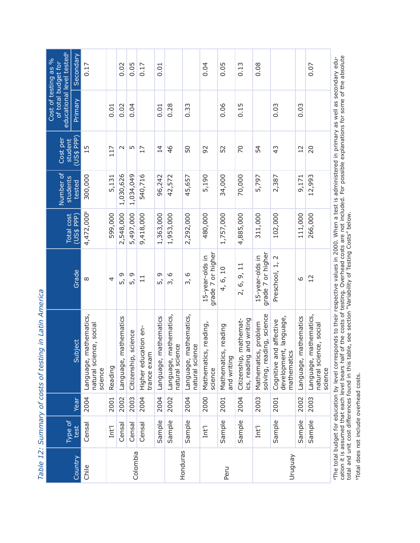| educational level tested <sup>ª</sup><br>Cost of testing as %<br>of total budget for | Secondary  | 0.17                                                            |         | 0.02                     | 0.05                 | 0.17                                | 0.01                     |                                              |                                                   | 0.04                                 | 0.05                                | 0.13                                              | 0.08                                              |                                                                     |                          | 0.07                                                            |
|--------------------------------------------------------------------------------------|------------|-----------------------------------------------------------------|---------|--------------------------|----------------------|-------------------------------------|--------------------------|----------------------------------------------|---------------------------------------------------|--------------------------------------|-------------------------------------|---------------------------------------------------|---------------------------------------------------|---------------------------------------------------------------------|--------------------------|-----------------------------------------------------------------|
|                                                                                      | Primary    |                                                                 | 0.01    | 0.02                     | 0.04                 |                                     | 0.01                     | 0.28                                         | 0.33                                              |                                      | 0.06                                | 0.15                                              |                                                   | 0.03                                                                | 0.03                     |                                                                 |
| Cost per<br>student                                                                  | (US\$ PPP) | 15                                                              | 117     | $\sim$                   | 5                    | 17                                  | $\overline{4}$           | 46                                           | 50                                                | 92                                   | 52                                  | 20                                                | 54                                                | 43                                                                  | $\overline{12}$          | 20                                                              |
| Number of<br>students                                                                | tested     | 300,000                                                         | 5,131   | 1,030,626                | 1,034,049            | 540,716                             | 96,242                   | 42,572                                       | 45,657                                            | 5,190                                | 34,000                              | 70,000                                            | 5,797                                             | 2,387                                                               | 9,171                    | 12,993                                                          |
| <b>Total cost</b>                                                                    | (US\$ PPP) | 4,472,000                                                       | 599,000 | 2,548,000                | 5,497,000            | 9,418,000                           | 1,363,000                | 1,953,000                                    | 2,292,000                                         | 480,000                              | 1,757,000                           | 4,885,000                                         | 311,000                                           | 102,000                                                             | 111,000                  | 266,000                                                         |
|                                                                                      | Grade      | ∞                                                               | 4       | 5, 9                     | 5, 9                 | $\overline{1}$                      | 9<br>5                   | $\circ$<br>$\tilde{5}$                       | 3, 6                                              | grade 7 or higher<br>15-year-olds in | 4, 6, 10                            | 2, 6, 9, 11                                       | grade 7 or higher<br>15-year-olds in              | Preschool, 1, 2                                                     | 9                        | 12                                                              |
|                                                                                      | Subject    | mathematics,<br>natural science, social<br>Language,<br>science | Reading | mathematics<br>Language, | Citizenship, science | Higher education en-<br>trance exam | mathematics<br>Language, | mathematics,<br>natural science<br>Language, | mathematics,<br>Language, matl<br>natural science | Mathematics, reading,<br>science     | Mathematics, reading<br>and writing | cs, reading and writing<br>Citizenship, mathemat- | solving, reading, science<br>Mathematics, problem | development, language,<br>and affective<br>mathematics<br>Cognitive | mathematics<br>Language, | mathematics,<br>natural science, social<br>Language,<br>science |
|                                                                                      | Year       | 2004                                                            | 2001    | 2002                     | 2003                 | 2004                                | 2004                     | 2002                                         | 2004                                              | 2000                                 | 2001                                | 2004                                              | 2003                                              | 2001                                                                | 2002                     | 2003                                                            |
| Type of                                                                              | test       | Censal                                                          | Int'l   | Censal                   | Censal               | Censal                              | Sample                   | Sample                                       | Sample                                            | Int'l                                | Sample                              | Sample                                            | Int1                                              | Sample                                                              | Sample                   | Sample                                                          |
|                                                                                      | Country    | Chile                                                           |         |                          | Colombia             |                                     |                          |                                              | Honduras                                          |                                      | Peru                                |                                                   |                                                   | Ven6nu                                                              |                          |                                                                 |

The coding product in equation by rever corresponds to their respective values in 2000, when a test is administered in primary as well as securitary equal cation it is assumed that each level bears half of the costs of tes cation it is assumed that each level bears half of the costs of testing. Overhead costs are not included. For possible explanations for some of the absolute aThe total budget for education by level corresponds to their respective values in 2000. When a test is administered in primary as well as secondary edutotal and unit cost differences found in this table, see section "Variability of Testing Costs" below.

<sup>b</sup>Total does not include overhead costs. bTotal does not include overhead costs.

Table 12: Summary of costs of testing in Latin America *Table 12: Summary of costs of testing in Latin America*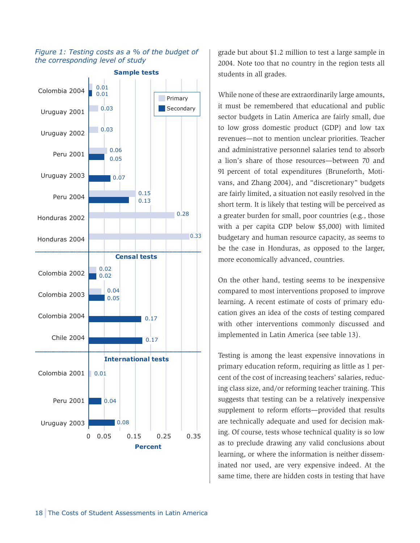#### *Figure 1: Testing costs as a % of the budget of the corresponding level of study*



grade but about \$1.2 million to test a large sample in 2004. Note too that no country in the region tests all students in all grades.

While none of these are extraordinarily large amounts, it must be remembered that educational and public sector budgets in Latin America are fairly small, due to low gross domestic product (GDP) and low tax revenues—not to mention unclear priorities. Teacher and administrative personnel salaries tend to absorb a lion's share of those resources—between 70 and 91 percent of total expenditures (Bruneforth, Motivans, and Zhang 2004), and "discretionary" budgets are fairly limited, a situation not easily resolved in the short term. It is likely that testing will be perceived as a greater burden for small, poor countries (e.g., those with a per capita GDP below \$5,000) with limited budgetary and human resource capacity, as seems to be the case in Honduras, as opposed to the larger, more economically advanced, countries.

On the other hand, testing seems to be inexpensive compared to most interventions proposed to improve learning**.** A recent estimate of costs of primary education gives an idea of the costs of testing compared with other interventions commonly discussed and implemented in Latin America (see table 13).

Testing is among the least expensive innovations in primary education reform, requiring as little as 1 percent of the cost of increasing teachers' salaries, reducing class size, and/or reforming teacher training. This suggests that testing can be a relatively inexpensive supplement to reform efforts—provided that results are technically adequate and used for decision making. Of course, tests whose technical quality is so low as to preclude drawing any valid conclusions about learning, or where the information is neither disseminated nor used, are very expensive indeed. At the same time, there are hidden costs in testing that have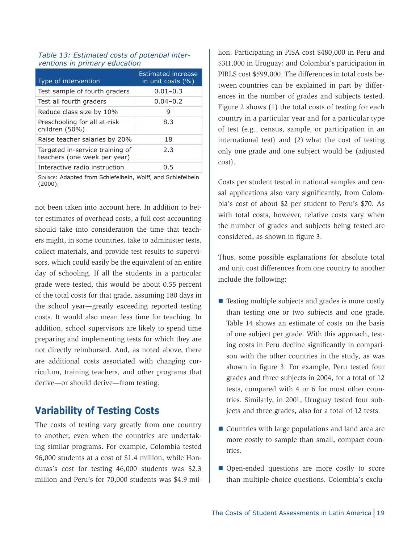| Type of intervention                                            | <b>Estimated increase</b><br>in unit costs $(% )$ |
|-----------------------------------------------------------------|---------------------------------------------------|
| Test sample of fourth graders                                   | $0.01 - 0.3$                                      |
| Test all fourth graders                                         | $0.04 - 0.2$                                      |
| Reduce class size by 10%                                        | q                                                 |
| Preschooling for all at-risk<br>children (50%)                  | 8.3                                               |
| Raise teacher salaries by 20%                                   | 18                                                |
| Targeted in-service training of<br>teachers (one week per year) | 2.3                                               |
| Interactive radio instruction                                   | 0. S                                              |

#### *Table 13: Estimated costs of potential interventions in primary education*

Source: Adapted from Schiefelbein, Wolff, and Schiefelbein (2000).

not been taken into account here. In addition to better estimates of overhead costs, a full cost accounting should take into consideration the time that teachers might, in some countries, take to administer tests, collect materials, and provide test results to supervisors, which could easily be the equivalent of an entire day of schooling. If all the students in a particular grade were tested, this would be about 0.55 percent of the total costs for that grade, assuming 180 days in the school year—greatly exceeding reported testing costs. It would also mean less time for teaching. In addition, school supervisors are likely to spend time preparing and implementing tests for which they are not directly reimbursed. And, as noted above, there are additional costs associated with changing curriculum, training teachers, and other programs that derive—or should derive—from testing.

## **Variability of Testing Costs**

The costs of testing vary greatly from one country to another, even when the countries are undertaking similar programs**.** For example, Colombia tested 96,000 students at a cost of \$1.4 million, while Honduras's cost for testing 46,000 students was \$2.3 million and Peru's for 70,000 students was \$4.9 mil-

lion. Participating in PISA cost \$480,000 in Peru and \$311,000 in Uruguay; and Colombia's participation in PIRLS cost \$599,000. The differences in total costs between countries can be explained in part by differences in the number of grades and subjects tested. Figure 2 shows (1) the total costs of testing for each country in a particular year and for a particular type of test (e.g., census, sample, or participation in an international test) and (2) what the cost of testing only one grade and one subject would be (adjusted cost).

Costs per student tested in national samples and censal applications also vary significantly, from Colombia's cost of about \$2 per student to Peru's \$70. As with total costs, however, relative costs vary when the number of grades and subjects being tested are considered, as shown in figure 3.

Thus, some possible explanations for absolute total and unit cost differences from one country to another include the following:

- Testing multiple subjects and grades is more costly than testing one or two subjects and one grade. Table 14 shows an estimate of costs on the basis of one subject per grade. With this approach, testing costs in Peru decline significantly in comparison with the other countries in the study, as was shown in figure 3. For example, Peru tested four grades and three subjects in 2004, for a total of 12 tests, compared with 4 or 6 for most other countries. Similarly, in 2001, Uruguay tested four subjects and three grades, also for a total of 12 tests.
- Countries with large populations and land area are more costly to sample than small, compact countries.
- **Open-ended questions are more costly to score** than multiple-choice questions. Colombia's exclu-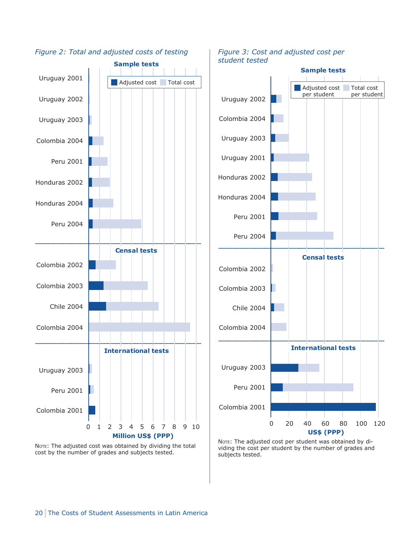

*Figure 2: Total and adjusted costs of testing*

*Figure 3: Cost and adjusted cost per student tested*



NOTE: The adjusted cost was obtained by dividing the total cost by the number of grades and subjects tested.

NOTE: The adjusted cost per student was obtained by dividing the cost per student by the number of grades and subjects tested.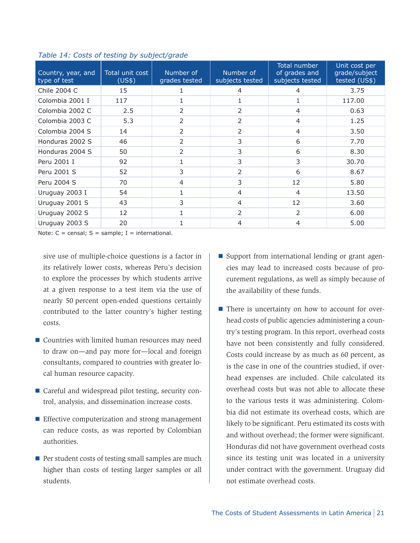| Country, year, and<br>type of test | Total unit cost<br>(US\$) | Number of<br>grades tested | Number of<br>subjects tested | Total number<br>of grades and<br>subjects tested | Unit cost per<br>grade/subject<br>tested (US\$) |
|------------------------------------|---------------------------|----------------------------|------------------------------|--------------------------------------------------|-------------------------------------------------|
| Chile 2004 C                       | 15                        |                            | 4                            | 4                                                | 3.75                                            |
| Colombia 2001 I                    | 117                       |                            |                              |                                                  | 117.00                                          |
| Colombia 2002 C                    | 2.5                       | 2                          | 2                            | 4                                                | 0.63                                            |
| Colombia 2003 C                    | 5.3                       | 2                          | 2                            | $\overline{4}$                                   | 1.25                                            |
| Colombia 2004 S                    | 14                        | 2                          | 2                            | $\overline{4}$                                   | 3.50                                            |
| Honduras 2002 S                    | 46                        | 2                          | 3                            | 6                                                | 7.70                                            |
| Honduras 2004 S                    | 50                        | 2                          | 3                            | 6                                                | 8.30                                            |
| Peru 2001 I                        | 92                        |                            | 3                            | 3                                                | 30.70                                           |
| Peru 2001 S                        | 52                        | 3                          | 2                            | 6                                                | 8.67                                            |
| Peru 2004 S                        | 70                        | 4                          | 3                            | 12                                               | 5.80                                            |
| Uruguay 2003 I                     | 54                        |                            | $\overline{4}$               | 4                                                | 13.50                                           |
| Uruguay 2001 S                     | 43                        | 3                          | 4                            | 12                                               | 3.60                                            |
| Uruguay 2002 S                     | 12                        |                            | 2                            | 2                                                | 6.00                                            |
| Uruguay 2003 S                     | 20                        |                            | 4                            | 4                                                | 5.00                                            |

*Table 14: Costs of testing by subject/grade*

Note:  $C = \text{censal}$ ;  $S = \text{sample}$ ;  $I = \text{international}$ .

sive use of multiple-choice questions is a factor in its relatively lower costs, whereas Peru's decision to explore the processes by which students arrive at a given response to a test item via the use of nearly 50 percent open-ended questions certainly contributed to the latter country's higher testing costs.

- Countries with limited human resources may need to draw on—and pay more for—local and foreign consultants, compared to countries with greater local human resource capacity.
- Careful and widespread pilot testing, security control, analysis, and dissemination increase costs.
- **Effective computerization and strong management** can reduce costs, as was reported by Colombian authorities.
- $\blacksquare$  Per student costs of testing small samples are much higher than costs of testing larger samples or all students.
- Support from international lending or grant agencies may lead to increased costs because of procurement regulations, as well as simply because of the availability of these funds.
- **There is uncertainty on how to account for over**head costs of public agencies administering a country's testing program. In this report, overhead costs have not been consistently and fully considered. Costs could increase by as much as 60 percent, as is the case in one of the countries studied, if overhead expenses are included. Chile calculated its overhead costs but was not able to allocate these to the various tests it was administering. Colombia did not estimate its overhead costs, which are likely to be significant. Peru estimated its costs with and without overhead; the former were significant. Honduras did not have government overhead costs since its testing unit was located in a university under contract with the government. Uruguay did not estimate overhead costs.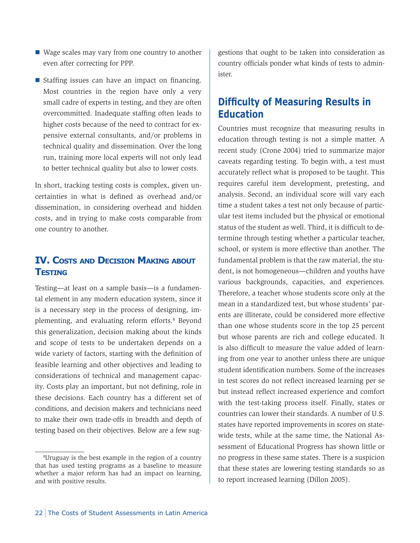- Wage scales may vary from one country to another even after correcting for PPP.
- **Staffing issues can have an impact on financing.** Most countries in the region have only a very small cadre of experts in testing, and they are often overcommitted. Inadequate staffing often leads to higher costs because of the need to contract for expensive external consultants, and/or problems in technical quality and dissemination. Over the long run, training more local experts will not only lead to better technical quality but also to lower costs.

In short, tracking testing costs is complex, given uncertainties in what is defined as overhead and/or dissemination, in considering overhead and hidden costs, and in trying to make costs comparable from one country to another.

### **IV. Costs and Decision Making about Testing**

Testing—at least on a sample basis—is a fundamental element in any modern education system, since it is a necessary step in the process of designing, implementing, and evaluating reform efforts.<sup>8</sup> Beyond this generalization, decision making about the kinds and scope of tests to be undertaken depends on a wide variety of factors, starting with the definition of feasible learning and other objectives and leading to considerations of technical and management capacity. Costs play an important, but not defining, role in these decisions. Each country has a different set of conditions, and decision makers and technicians need to make their own trade-offs in breadth and depth of testing based on their objectives. Below are a few suggestions that ought to be taken into consideration as country officials ponder what kinds of tests to administer.

## **Difficulty of Measuring Results in Education**

Countries must recognize that measuring results in education through testing is not a simple matter. A recent study (Crone 2004) tried to summarize major caveats regarding testing. To begin with, a test must accurately reflect what is proposed to be taught. This requires careful item development, pretesting, and analysis. Second, an individual score will vary each time a student takes a test not only because of particular test items included but the physical or emotional status of the student as well. Third, it is difficult to determine through testing whether a particular teacher, school, or system is more effective than another. The fundamental problem is that the raw material, the student, is not homogeneous—children and youths have various backgrounds, capacities, and experiences. Therefore, a teacher whose students score only at the mean in a standardized test, but whose students' parents are illiterate, could be considered more effective than one whose students score in the top 25 percent but whose parents are rich and college educated. It is also difficult to measure the value added of learning from one year to another unless there are unique student identification numbers. Some of the increases in test scores do not reflect increased learning per se but instead reflect increased experience and comfort with the test-taking process itself. Finally, states or countries can lower their standards. A number of U.S. states have reported improvements in scores on statewide tests, while at the same time, the National Assessment of Educational Progress has shown little or no progress in these same states. There is a suspicion that these states are lowering testing standards so as to report increased learning (Dillon 2005).

<sup>8</sup> Uruguay is the best example in the region of a country that has used testing programs as a baseline to measure whether a major reform has had an impact on learning, and with positive results.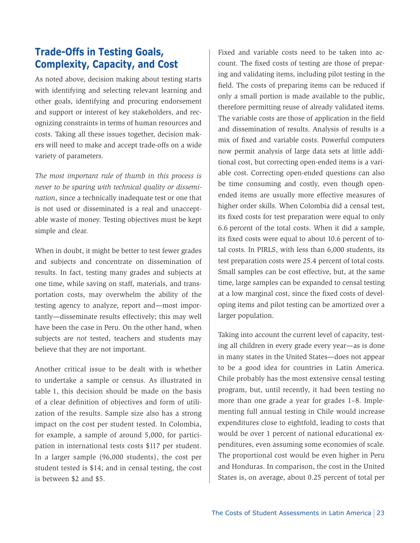## **Trade-Offs in Testing Goals, Complexity, Capacity, and Cost**

As noted above, decision making about testing starts with identifying and selecting relevant learning and other goals, identifying and procuring endorsement and support or interest of key stakeholders, and recognizing constraints in terms of human resources and costs. Taking all these issues together, decision makers will need to make and accept trade-offs on a wide variety of parameters.

*The most important rule of thumb in this process is never to be sparing with technical quality or dissemination*, since a technically inadequate test or one that is not used or disseminated is a real and unacceptable waste of money. Testing objectives must be kept simple and clear.

When in doubt, it might be better to test fewer grades and subjects and concentrate on dissemination of results. In fact, testing many grades and subjects at one time, while saving on staff, materials, and transportation costs, may overwhelm the ability of the testing agency to analyze, report and—most importantly—disseminate results effectively; this may well have been the case in Peru. On the other hand, when subjects are *not* tested, teachers and students may believe that they are not important.

Another critical issue to be dealt with is whether to undertake a sample or census. As illustrated in table 1, this decision should be made on the basis of a clear definition of objectives and form of utilization of the results. Sample size also has a strong impact on the cost per student tested. In Colombia, for example, a sample of around 5,000, for participation in international tests costs \$117 per student. In a larger sample (96,000 students), the cost per student tested is \$14; and in censal testing, the cost is between \$2 and \$5.

Fixed and variable costs need to be taken into account. The fixed costs of testing are those of preparing and validating items, including pilot testing in the field. The costs of preparing items can be reduced if only a small portion is made available to the public, therefore permitting reuse of already validated items. The variable costs are those of application in the field and dissemination of results. Analysis of results is a mix of fixed and variable costs. Powerful computers now permit analysis of large data sets at little additional cost, but correcting open-ended items is a variable cost. Correcting open-ended questions can also be time consuming and costly, even though openended items are usually more effective measures of higher order skills. When Colombia did a censal test, its fixed costs for test preparation were equal to only 6.6 percent of the total costs. When it did a sample, its fixed costs were equal to about 10.6 percent of total costs. In PIRLS, with less than 6,000 students, its test preparation costs were 25.4 percent of total costs. Small samples can be cost effective, but, at the same time, large samples can be expanded to censal testing at a low marginal cost, since the fixed costs of developing items and pilot testing can be amortized over a larger population.

Taking into account the current level of capacity, testing all children in every grade every year—as is done in many states in the United States—does not appear to be a good idea for countries in Latin America. Chile probably has the most extensive censal testing program, but, until recently, it had been testing no more than one grade a year for grades 1–8. Implementing full annual testing in Chile would increase expenditures close to eightfold, leading to costs that would be over 1 percent of national educational expenditures, even assuming some economies of scale. The proportional cost would be even higher in Peru and Honduras. In comparison, the cost in the United States is, on average, about 0.25 percent of total per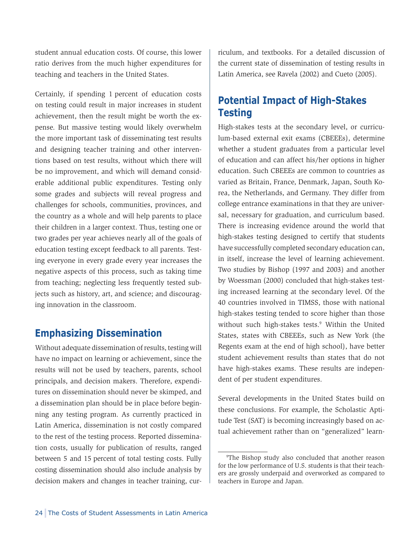student annual education costs. Of course, this lower ratio derives from the much higher expenditures for teaching and teachers in the United States.

Certainly, if spending 1 percent of education costs on testing could result in major increases in student achievement, then the result might be worth the expense. But massive testing would likely overwhelm the more important task of disseminating test results and designing teacher training and other interventions based on test results, without which there will be no improvement, and which will demand considerable additional public expenditures. Testing only some grades and subjects will reveal progress and challenges for schools, communities, provinces, and the country as a whole and will help parents to place their children in a larger context. Thus, testing one or two grades per year achieves nearly all of the goals of education testing except feedback to all parents. Testing everyone in every grade every year increases the negative aspects of this process, such as taking time from teaching; neglecting less frequently tested subjects such as history, art, and science; and discouraging innovation in the classroom.

## **Emphasizing Dissemination**

Without adequate dissemination of results, testing will have no impact on learning or achievement, since the results will not be used by teachers, parents, school principals, and decision makers. Therefore, expenditures on dissemination should never be skimped, and a dissemination plan should be in place before beginning any testing program. As currently practiced in Latin America, dissemination is not costly compared to the rest of the testing process. Reported dissemination costs, usually for publication of results, ranged between 5 and 15 percent of total testing costs. Fully costing dissemination should also include analysis by decision makers and changes in teacher training, curriculum, and textbooks. For a detailed discussion of the current state of dissemination of testing results in Latin America, see Ravela (2002) and Cueto (2005).

## **Potential Impact of High-Stakes Testing**

High-stakes tests at the secondary level, or curriculum-based external exit exams (CBEEEs), determine whether a student graduates from a particular level of education and can affect his/her options in higher education. Such CBEEEs are common to countries as varied as Britain, France, Denmark, Japan, South Korea, the Netherlands, and Germany. They differ from college entrance examinations in that they are universal, necessary for graduation, and curriculum based. There is increasing evidence around the world that high-stakes testing designed to certify that students have successfully completed secondary education can, in itself, increase the level of learning achievement. Two studies by Bishop (1997 and 2003) and another by Woessman (2000) concluded that high-stakes testing increased learning at the secondary level. Of the 40 countries involved in TIMSS, those with national high-stakes testing tended to score higher than those without such high-stakes tests.<sup>9</sup> Within the United States, states with CBEEEs, such as New York (the Regents exam at the end of high school), have better student achievement results than states that do not have high-stakes exams. These results are independent of per student expenditures.

Several developments in the United States build on these conclusions. For example, the Scholastic Aptitude Test (SAT) is becoming increasingly based on actual achievement rather than on "generalized" learn-

<sup>9</sup> The Bishop study also concluded that another reason for the low performance of U.S. students is that their teachers are grossly underpaid and overworked as compared to teachers in Europe and Japan.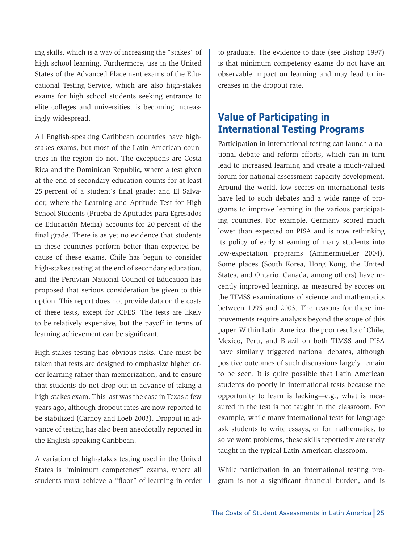ing skills, which is a way of increasing the "stakes" of high school learning. Furthermore, use in the United States of the Advanced Placement exams of the Educational Testing Service, which are also high-stakes exams for high school students seeking entrance to elite colleges and universities, is becoming increasingly widespread.

All English-speaking Caribbean countries have highstakes exams, but most of the Latin American countries in the region do not. The exceptions are Costa Rica and the Dominican Republic, where a test given at the end of secondary education counts for at least 25 percent of a student's final grade; and El Salvador, where the Learning and Aptitude Test for High School Students (Prueba de Aptitudes para Egresados de Educación Media) accounts for 20 percent of the final grade. There is as yet no evidence that students in these countries perform better than expected because of these exams. Chile has begun to consider high-stakes testing at the end of secondary education, and the Peruvian National Council of Education has proposed that serious consideration be given to this option. This report does not provide data on the costs of these tests, except for ICFES. The tests are likely to be relatively expensive, but the payoff in terms of learning achievement can be significant.

High-stakes testing has obvious risks. Care must be taken that tests are designed to emphasize higher order learning rather than memorization, and to ensure that students do not drop out in advance of taking a high-stakes exam. This last was the case in Texas a few years ago, although dropout rates are now reported to be stabilized (Carnoy and Loeb 2003). Dropout in advance of testing has also been anecdotally reported in the English-speaking Caribbean.

A variation of high-stakes testing used in the United States is "minimum competency" exams, where all students must achieve a "floor" of learning in order to graduate. The evidence to date (see Bishop 1997) is that minimum competency exams do not have an observable impact on learning and may lead to increases in the dropout rate.

## **Value of Participating in International Testing Programs**

Participation in international testing can launch a national debate and reform efforts, which can in turn lead to increased learning and create a much-valued forum for national assessment capacity development**.**  Around the world, low scores on international tests have led to such debates and a wide range of programs to improve learning in the various participating countries. For example, Germany scored much lower than expected on PISA and is now rethinking its policy of early streaming of many students into low-expectation programs (Ammermueller 2004). Some places (South Korea, Hong Kong, the United States, and Ontario, Canada, among others) have recently improved learning, as measured by scores on the TIMSS examinations of science and mathematics between 1995 and 2003. The reasons for these improvements require analysis beyond the scope of this paper. Within Latin America, the poor results of Chile, Mexico, Peru, and Brazil on both TIMSS and PISA have similarly triggered national debates, although positive outcomes of such discussions largely remain to be seen. It is quite possible that Latin American students do poorly in international tests because the opportunity to learn is lacking—e.g., what is measured in the test is not taught in the classroom. For example, while many international tests for language ask students to write essays, or for mathematics, to solve word problems, these skills reportedly are rarely taught in the typical Latin American classroom.

While participation in an international testing program is not a significant financial burden, and is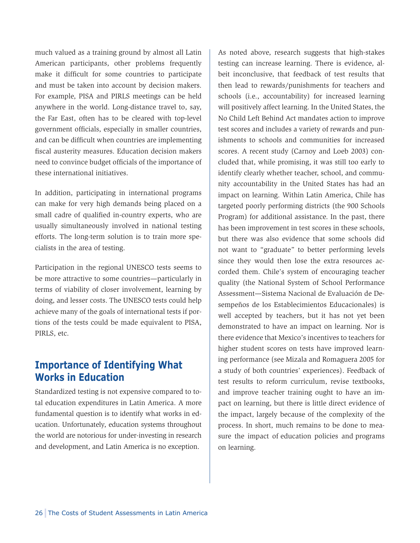much valued as a training ground by almost all Latin American participants, other problems frequently make it difficult for some countries to participate and must be taken into account by decision makers. For example, PISA and PIRLS meetings can be held anywhere in the world. Long-distance travel to, say, the Far East, often has to be cleared with top-level government officials, especially in smaller countries, and can be difficult when countries are implementing fiscal austerity measures. Education decision makers need to convince budget officials of the importance of these international initiatives.

In addition, participating in international programs can make for very high demands being placed on a small cadre of qualified in-country experts, who are usually simultaneously involved in national testing efforts. The long-term solution is to train more specialists in the area of testing.

Participation in the regional UNESCO tests seems to be more attractive to some countries—particularly in terms of viability of closer involvement, learning by doing, and lesser costs. The UNESCO tests could help achieve many of the goals of international tests if portions of the tests could be made equivalent to PISA, PIRLS, etc.

## **Importance of Identifying What Works in Education**

Standardized testing is not expensive compared to total education expenditures in Latin America. A more fundamental question is to identify what works in education. Unfortunately, education systems throughout the world are notorious for under-investing in research and development, and Latin America is no exception.

As noted above, research suggests that high-stakes testing can increase learning. There is evidence, albeit inconclusive, that feedback of test results that then lead to rewards/punishments for teachers and schools (i.e., accountability) for increased learning will positively affect learning. In the United States, the No Child Left Behind Act mandates action to improve test scores and includes a variety of rewards and punishments to schools and communities for increased scores. A recent study (Carnoy and Loeb 2003) concluded that, while promising, it was still too early to identify clearly whether teacher, school, and community accountability in the United States has had an impact on learning. Within Latin America, Chile has targeted poorly performing districts (the 900 Schools Program) for additional assistance. In the past, there has been improvement in test scores in these schools, but there was also evidence that some schools did not want to "graduate" to better performing levels since they would then lose the extra resources accorded them. Chile's system of encouraging teacher quality (the National System of School Performance Assessment—Sistema Nacional de Evaluación de Desempeños de los Establecimientos Educacionales) is well accepted by teachers, but it has not yet been demonstrated to have an impact on learning. Nor is there evidence that Mexico's incentives to teachers for higher student scores on tests have improved learning performance (see Mizala and Romaguera 2005 for a study of both countries' experiences). Feedback of test results to reform curriculum, revise textbooks, and improve teacher training ought to have an impact on learning, but there is little direct evidence of the impact, largely because of the complexity of the process. In short, much remains to be done to measure the impact of education policies and programs on learning.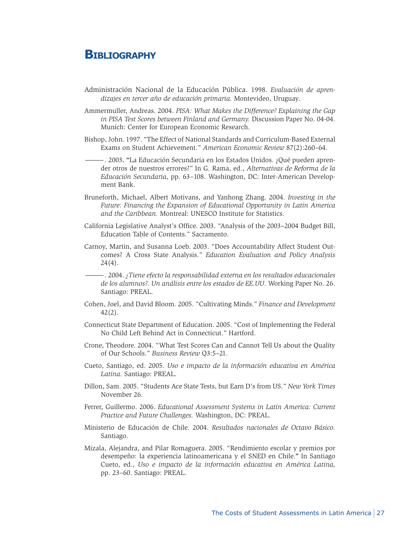## **Bibliography**

- Administración Nacional de la Educación Pública. 1998. *Evaluación de aprendizajes en tercer año de educación primaria.* Montevideo, Uruguay.
- Ammermuller, Andreas. 2004. *PISA: What Makes the Difference? Explaining the Gap in PISA Test Scores between Finland and Germany.* Discussion Paper No. 04-04. Munich: Center for European Economic Research.
- Bishop, John. 1997. "The Effect of National Standards and Curriculum-Based External Exams on Student Achievement." *American Economic Review* 87(2):260–64.
- —. 2003**. "**La Educación Secundaria en los Estados Unidos. ¿Qué pueden aprender otros de nuestros errores?" In G. Rama, ed., *Alternativas de Reforma de la Educación Secundaria*, pp. 63–108. Washington, DC: Inter-American Development Bank.
- Bruneforth, Michael, Albert Motivans, and Yanhong Zhang. 2004. *Investing in the Future: Financing the Expansion of Educational Opportunity in Latin America and the Caribbean.* Montreal: UNESCO Institute for Statistics.
- California Legislative Analyst's Office. 2003. "Analysis of the 2003–2004 Budget Bill, Education Table of Contents." Sacramento.
- Carnoy, Martin, and Susanna Loeb. 2003. "Does Accountability Affect Student Outcomes? A Cross State Analysis." *Education Evaluation and Policy Analysis*   $24(4)$ .
- —. 2004. *¿Tiene efecto la responsabilidad externa en los resultados educacionales de los alumnos?. Un análisis entre los estados de EE.UU.* Working Paper No. 26. Santiago: PREAL.
- Cohen, Joel, and David Bloom. 2005. "Cultivating Minds." *Finance and Development*  42(2).
- Connecticut State Department of Education. 2005. "Cost of Implementing the Federal No Child Left Behind Act in Connecticut." Hartford.
- Crone, Theodore. 2004. "What Test Scores Can and Cannot Tell Us about the Quality of Our Schools." *Business Review* Q3:5–21.
- Cueto, Santiago, ed. 2005. *Uso e impacto de la información educativa en América Latina.* Santiago: PREAL.
- Dillon, Sam. 2005. "Students Ace State Tests, but Earn D's from US." *New York Times*  November 26*.*
- Ferrer, Guillermo. 2006. *Educational Assessment Systems in Latin America: Current Practice and Future Challenges.* Washington, DC: PREAL.
- Ministerio de Educación de Chile. 2004. *Resultados nacionales de Octavo Básico.*  Santiago.
- Mizala, Alejandra, and Pilar Romaguera. 2005. "Rendimiento escolar y premios por desempeño: la experiencia latinoamericana y el SNED en Chile.**"** In Santiago Cueto, ed., *Uso e impacto de la información educativa en América Latina,*  pp. 23–60. Santiago: PREAL.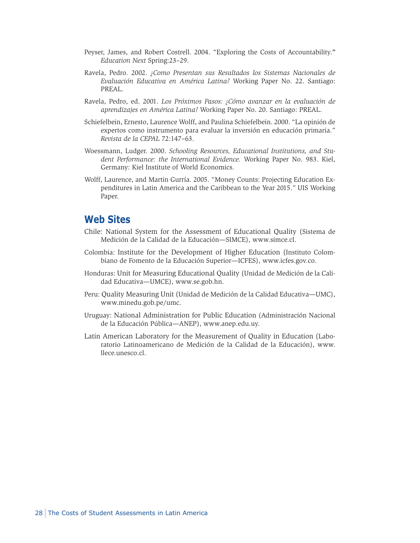- Peyser, James, and Robert Costrell. 2004. "Exploring the Costs of Accountability.**"**  *Education Next* Spring:23–29.
- Ravela, Pedro. 2002. *¿Como Presentan sus Resultados los Sistemas Nacionales de Evaluación Educativa en América Latina?* Working Paper No. 22. Santiago: PREAL.
- Ravela, Pedro, ed. 2001. *Los Próximos Pasos: ¿Cómo avanzar en la evaluación de aprendizajes en América Latina?* Working Paper No. 20. Santiago: PREAL.
- Schiefelbein, Ernesto, Laurence Wolff, and Paulina Schiefelbein. 2000. "La opinión de expertos como instrumento para evaluar la inversión en educación primaria." *Revista de la CEPAL* 72:147–63.
- Woessmann, Ludger. 2000. *Schooling Resources, Educational Institutions, and Student Performance: the International Evidence.* Working Paper No. 983. Kiel, Germany: Kiel Institute of World Economics.
- Wolff, Laurence, and Martin Gurría. 2005. "Money Counts: Projecting Education Expenditures in Latin America and the Caribbean to the Year 2015." UIS Working Paper.

### **Web Sites**

- Chile: National System for the Assessment of Educational Quality (Sistema de Medición de la Calidad de la Educación—SIMCE), www.simce.cl.
- Colombia: Institute for the Development of Higher Education (Instituto Colombiano de Fomento de la Educación Superior—ICFES), www.icfes.gov.co.
- Honduras: Unit for Measuring Educational Quality (Unidad de Medición de la Calidad Educativa—UMCE), www.se.gob.hn.
- Peru: Quality Measuring Unit (Unidad de Medición de la Calidad Educativa—UMC), www.minedu.gob.pe/umc.
- Uruguay: National Administration for Public Education (Administración Nacional de la Educación Pública—ANEP), www.anep.edu.uy.
- Latin American Laboratory for the Measurement of Quality in Education (Laboratorio Latinoamericano de Medición de la Calidad de la Educación), www. llece.unesco.cl.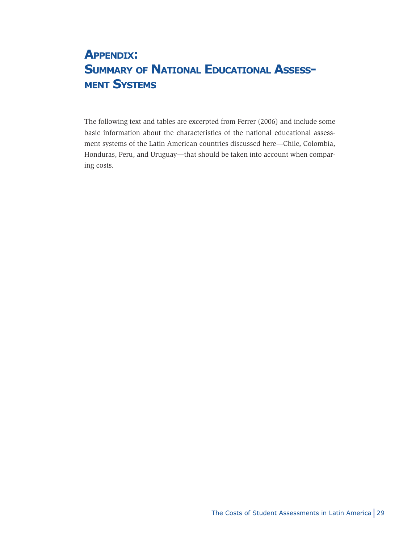# **Appendix: SUMMARY OF NATIONAL EDUCATIONAL ASSESSment Systems**

The following text and tables are excerpted from Ferrer (2006) and include some basic information about the characteristics of the national educational assessment systems of the Latin American countries discussed here—Chile, Colombia, Honduras, Peru, and Uruguay—that should be taken into account when comparing costs.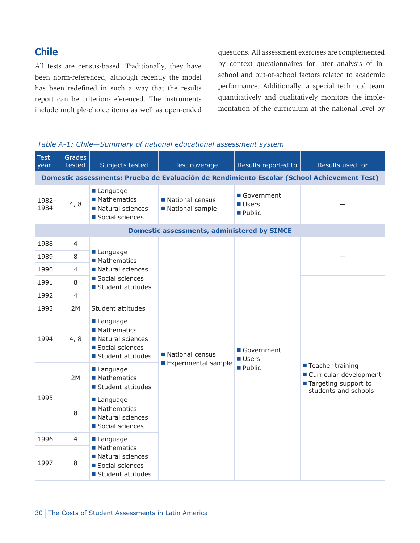## **Chile**

All tests are census-based. Traditionally, they have been norm-referenced, although recently the model has been redefined in such a way that the results report can be criterion-referenced. The instruments include multiple-choice items as well as open-ended questions. All assessment exercises are complemented by context questionnaires for later analysis of inschool and out-of-school factors related to academic performance. Additionally, a special technical team quantitatively and qualitatively monitors the implementation of the curriculum at the national level by



| <b>Test</b><br>year                                                                         | <b>Grades</b><br>tested | Subjects tested                                                                       | Test coverage                                      | Results reported to                           | Results used for                                                                                 |  |  |  |
|---------------------------------------------------------------------------------------------|-------------------------|---------------------------------------------------------------------------------------|----------------------------------------------------|-----------------------------------------------|--------------------------------------------------------------------------------------------------|--|--|--|
| Domestic assessments: Prueba de Evaluación de Rendimiento Escolar (School Achievement Test) |                         |                                                                                       |                                                    |                                               |                                                                                                  |  |  |  |
| 1982-<br>1984                                                                               | 4, 8                    | Language<br>■ Mathematics<br>Natural sciences<br>Social sciences                      | National census<br>National sample                 | Government<br><b>■ Users</b><br><b>Public</b> |                                                                                                  |  |  |  |
|                                                                                             |                         |                                                                                       | <b>Domestic assessments, administered by SIMCE</b> |                                               |                                                                                                  |  |  |  |
| 1988                                                                                        | $\overline{4}$          |                                                                                       |                                                    |                                               |                                                                                                  |  |  |  |
| 1989                                                                                        | 8                       | Language<br>■ Mathematics                                                             |                                                    |                                               |                                                                                                  |  |  |  |
| 1990                                                                                        | 4                       | Natural sciences                                                                      |                                                    |                                               |                                                                                                  |  |  |  |
| 1991                                                                                        | 8                       | Social sciences<br>Student attitudes                                                  |                                                    |                                               |                                                                                                  |  |  |  |
| 1992                                                                                        | 4                       |                                                                                       |                                                    |                                               |                                                                                                  |  |  |  |
| 1993                                                                                        | 2M                      | Student attitudes                                                                     |                                                    |                                               |                                                                                                  |  |  |  |
| 1994                                                                                        | 4, 8                    | Language<br>■ Mathematics<br>Natural sciences<br>Social sciences<br>Student attitudes | National census                                    | Government<br><b>Users</b>                    |                                                                                                  |  |  |  |
|                                                                                             | 2M                      | Language<br>■ Mathematics<br>Student attitudes                                        | Experimental sample                                | Public                                        | ■ Teacher training<br>■ Curricular development<br>■ Targeting support to<br>students and schools |  |  |  |
| 1995                                                                                        | 8                       | Language<br>■ Mathematics<br>Natural sciences<br>Social sciences                      |                                                    |                                               |                                                                                                  |  |  |  |
| 1996                                                                                        | $\overline{4}$          | Language                                                                              |                                                    |                                               |                                                                                                  |  |  |  |
| 1997                                                                                        | 8                       | ■ Mathematics<br>Natural sciences<br>Social sciences<br>Student attitudes             |                                                    |                                               |                                                                                                  |  |  |  |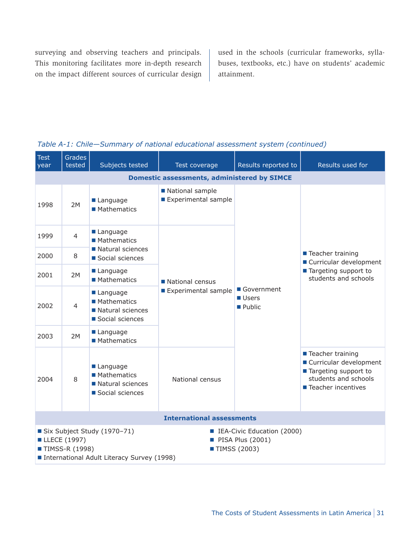surveying and observing teachers and principals. This monitoring facilitates more in-depth research on the impact different sources of curricular design used in the schools (curricular frameworks, syllabuses, textbooks, etc.) have on students' academic attainment.

| <b>Test</b><br>year                                | <b>Grades</b><br>tested                                                                                                                                                                                     | Subjects tested                                                       | Test coverage                                                                         | Results reported to | Results used for                                                                                                         |  |  |  |
|----------------------------------------------------|-------------------------------------------------------------------------------------------------------------------------------------------------------------------------------------------------------------|-----------------------------------------------------------------------|---------------------------------------------------------------------------------------|---------------------|--------------------------------------------------------------------------------------------------------------------------|--|--|--|
| <b>Domestic assessments, administered by SIMCE</b> |                                                                                                                                                                                                             |                                                                       |                                                                                       |                     |                                                                                                                          |  |  |  |
| 1998                                               | 2M                                                                                                                                                                                                          | Language<br>■ Mathematics                                             | National sample<br>Experimental sample                                                |                     |                                                                                                                          |  |  |  |
| 1999                                               | $\overline{4}$                                                                                                                                                                                              | Language<br>■ Mathematics                                             |                                                                                       |                     |                                                                                                                          |  |  |  |
| 2000                                               | 8                                                                                                                                                                                                           | Natural sciences<br>Social sciences                                   |                                                                                       |                     | ■ Teacher training<br>■ Curricular development                                                                           |  |  |  |
| 2001                                               | 2M                                                                                                                                                                                                          | Language<br>■ Mathematics                                             | National census<br>Government<br>Experimental sample<br><b>Users</b><br><b>Public</b> |                     | ■ Targeting support to<br>students and schools                                                                           |  |  |  |
| 2002                                               | 4                                                                                                                                                                                                           | Language<br><b>Mathematics</b><br>Natural sciences<br>Social sciences |                                                                                       |                     |                                                                                                                          |  |  |  |
| 2003                                               | 2M                                                                                                                                                                                                          | Language<br>■ Mathematics                                             |                                                                                       |                     |                                                                                                                          |  |  |  |
| 2004                                               | 8                                                                                                                                                                                                           | Language<br><b>Mathematics</b><br>Natural sciences<br>Social sciences | National census                                                                       |                     | ■ Teacher training<br>■ Curricular development<br>■ Targeting support to<br>students and schools<br>■ Teacher incentives |  |  |  |
|                                                    |                                                                                                                                                                                                             |                                                                       | <b>International assessments</b>                                                      |                     |                                                                                                                          |  |  |  |
|                                                    | Six Subject Study (1970-71)<br><b>E</b> IEA-Civic Education (2000)<br>■ LLECE (1997)<br>$\blacksquare$ PISA Plus (2001)<br>■ TIMSS-R (1998)<br>■ TIMSS (2003)<br>International Adult Literacy Survey (1998) |                                                                       |                                                                                       |                     |                                                                                                                          |  |  |  |

#### *Table A-1: Chile—Summary of national educational assessment system (continued)*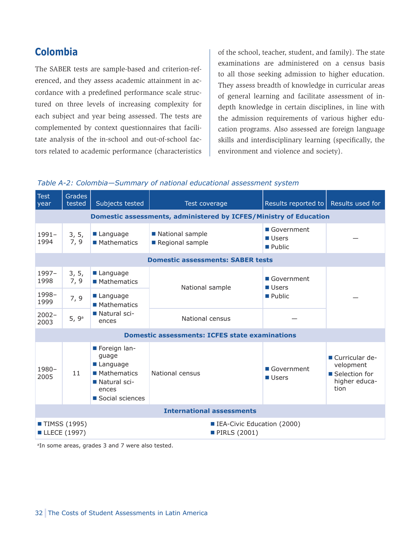## **Colombia**

The SABER tests are sample-based and criterion-referenced, and they assess academic attainment in accordance with a predefined performance scale structured on three levels of increasing complexity for each subject and year being assessed. The tests are complemented by context questionnaires that facilitate analysis of the in-school and out-of-school factors related to academic performance (characteristics of the school, teacher, student, and family). The state examinations are administered on a census basis to all those seeking admission to higher education. They assess breadth of knowledge in curricular areas of general learning and facilitate assessment of indepth knowledge in certain disciplines, in line with the admission requirements of various higher education programs. Also assessed are foreign language skills and interdisciplinary learning (specifically, the environment and violence and society).



| <b>Test</b><br>year              | <b>Grades</b><br>tested                                                  | Subjects tested                                                                                | Test coverage                                            | Results reported to $\vert$ Results used for        |                                                                         |  |  |  |  |
|----------------------------------|--------------------------------------------------------------------------|------------------------------------------------------------------------------------------------|----------------------------------------------------------|-----------------------------------------------------|-------------------------------------------------------------------------|--|--|--|--|
|                                  | <b>Domestic assessments, administered by ICFES/Ministry of Education</b> |                                                                                                |                                                          |                                                     |                                                                         |  |  |  |  |
| $1991 -$<br>1994                 | 3, 5,<br>7, 9                                                            | Language<br><b>Mathematics</b>                                                                 | National sample<br>Regional sample                       | Government<br><b>Users</b><br>$\blacksquare$ Public |                                                                         |  |  |  |  |
|                                  | <b>Domestic assessments: SABER tests</b>                                 |                                                                                                |                                                          |                                                     |                                                                         |  |  |  |  |
| 1997-<br>1998                    | 3, 5,<br>7, 9                                                            | Language<br>■ Mathematics                                                                      | National sample                                          | Government<br>Users                                 |                                                                         |  |  |  |  |
| 1998-<br>1999                    | 7, 9                                                                     | Language<br>■ Mathematics                                                                      |                                                          | $\blacksquare$ Public                               |                                                                         |  |  |  |  |
| $2002 -$<br>2003                 | 5, 9 <sup>a</sup>                                                        | Natural sci-<br>ences                                                                          | National census                                          |                                                     |                                                                         |  |  |  |  |
|                                  |                                                                          |                                                                                                | <b>Domestic assessments: ICFES state examinations</b>    |                                                     |                                                                         |  |  |  |  |
| 1980-<br>2005                    | 11                                                                       | Foreign lan-<br>quage<br>Language<br>■ Mathematics<br>Natural sci-<br>ences<br>Social sciences | National census                                          | Government<br>Users                                 | ■ Curricular de-<br>velopment<br>Selection for<br>higher educa-<br>tion |  |  |  |  |
|                                  | <b>International assessments</b>                                         |                                                                                                |                                                          |                                                     |                                                                         |  |  |  |  |
| ■ TIMSS (1995)<br>■ LLECE (1997) |                                                                          |                                                                                                | <b>IEA-Civic Education (2000)</b><br><b>PIRLS (2001)</b> |                                                     |                                                                         |  |  |  |  |

<sup>a</sup>In some areas, grades 3 and 7 were also tested.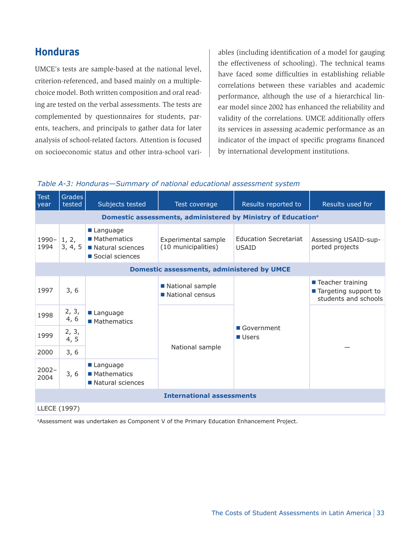## **Honduras**

UMCE's tests are sample-based at the national level, criterion-referenced, and based mainly on a multiplechoice model. Both written composition and oral reading are tested on the verbal assessments. The tests are complemented by questionnaires for students, parents, teachers, and principals to gather data for later analysis of school-related factors. Attention is focused on socioeconomic status and other intra-school vari-

ables (including identification of a model for gauging the effectiveness of schooling). The technical teams have faced some difficulties in establishing reliable correlations between these variables and academic performance, although the use of a hierarchical linear model since 2002 has enhanced the reliability and validity of the correlations. UMCE additionally offers its services in assessing academic performance as an indicator of the impact of specific programs financed by international development institutions.

#### *Table A-3: Honduras—Summary of national educational assessment system*

| <b>Test</b><br>year | Grades<br>tested                                                         | Subjects tested                                                       | Test coverage                              | Results reported to                          | Results used for                                                     |  |  |  |  |
|---------------------|--------------------------------------------------------------------------|-----------------------------------------------------------------------|--------------------------------------------|----------------------------------------------|----------------------------------------------------------------------|--|--|--|--|
|                     | Domestic assessments, administered by Ministry of Education <sup>a</sup> |                                                                       |                                            |                                              |                                                                      |  |  |  |  |
| 1990-<br>1994       | 1, 2,<br>3, 4, 5                                                         | Language<br><b>Mathematics</b><br>Natural sciences<br>Social sciences | Experimental sample<br>(10 municipalities) | <b>Education Secretariat</b><br><b>USAID</b> | Assessing USAID-sup-<br>ported projects                              |  |  |  |  |
|                     | <b>Domestic assessments, administered by UMCE</b>                        |                                                                       |                                            |                                              |                                                                      |  |  |  |  |
| 1997                | 3, 6                                                                     |                                                                       | National sample<br>National census         |                                              | ■ Teacher training<br>■ Targeting support to<br>students and schools |  |  |  |  |
| 1998                | 2, 3,<br>4, 6                                                            | Language<br>■ Mathematics                                             |                                            | Government<br><b>Users</b>                   |                                                                      |  |  |  |  |
| 1999                | 2, 3,<br>4, 5                                                            |                                                                       |                                            |                                              |                                                                      |  |  |  |  |
| 2000                | 3, 6                                                                     |                                                                       | National sample                            |                                              |                                                                      |  |  |  |  |
| $2002 -$<br>2004    | 3, 6                                                                     | $\blacksquare$ Language<br>■ Mathematics<br>Natural sciences          |                                            |                                              |                                                                      |  |  |  |  |
|                     | <b>International assessments</b>                                         |                                                                       |                                            |                                              |                                                                      |  |  |  |  |
| LLECE (1997)        |                                                                          |                                                                       |                                            |                                              |                                                                      |  |  |  |  |

aAssessment was undertaken as Component V of the Primary Education Enhancement Project.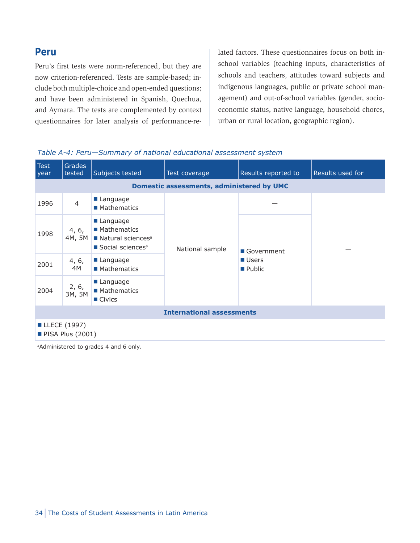### **Peru**

Peru's first tests were norm-referenced, but they are now criterion-referenced. Tests are sample-based; include both multiple-choice and open-ended questions; and have been administered in Spanish, Quechua, and Aymara. The tests are complemented by context questionnaires for later analysis of performance-related factors. These questionnaires focus on both inschool variables (teaching inputs, characteristics of schools and teachers, attitudes toward subjects and indigenous languages, public or private school management) and out-of-school variables (gender, socioeconomic status, native language, household chores, urban or rural location, geographic region).

#### *Table A-4: Peru—Summary of national educational assessment system*

| <b>Test</b><br>year                       | Grades<br>tested                                 | Subjects tested                                                                                                    | Test coverage   | Results reported to | Results used for |  |  |  |  |
|-------------------------------------------|--------------------------------------------------|--------------------------------------------------------------------------------------------------------------------|-----------------|---------------------|------------------|--|--|--|--|
|                                           | <b>Domestic assessments, administered by UMC</b> |                                                                                                                    |                 |                     |                  |  |  |  |  |
| 1996                                      | $\overline{4}$                                   | Language<br>■ Mathematics                                                                                          |                 |                     |                  |  |  |  |  |
| 1998                                      | 4, 6,                                            | ■ Language<br>■ Mathematics<br>4M, 5M $\blacksquare$ Natural sciences <sup>a</sup><br>Social sciences <sup>a</sup> | National sample | Government          |                  |  |  |  |  |
| 2001                                      | 4, 6,<br>4M                                      | $\blacksquare$ Language<br>■ Mathematics                                                                           |                 | ■ Users<br>■ Public |                  |  |  |  |  |
| 2004                                      | 2, 6,<br>3M, 5M                                  | Language<br>■ Mathematics<br>$\blacksquare$ Civics                                                                 |                 |                     |                  |  |  |  |  |
| <b>International assessments</b>          |                                                  |                                                                                                                    |                 |                     |                  |  |  |  |  |
| ■ LLECE (1997)<br><b>PISA Plus (2001)</b> |                                                  |                                                                                                                    |                 |                     |                  |  |  |  |  |

<sup>a</sup>Administered to grades 4 and 6 only.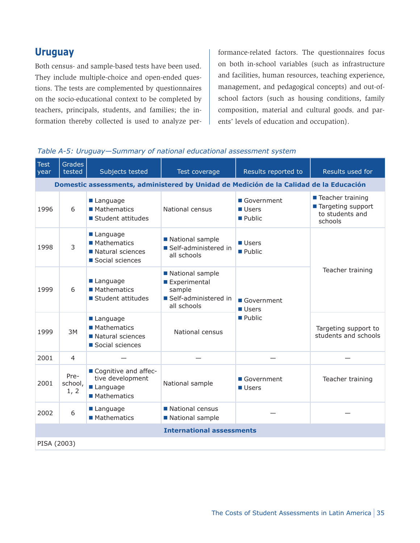### **Uruguay**

Both census- and sample-based tests have been used. They include multiple-choice and open-ended questions. The tests are complemented by questionnaires on the socio-educational context to be completed by teachers, principals, students, and families; the information thereby collected is used to analyze performance-related factors. The questionnaires focus on both in-school variables (such as infrastructure and facilities, human resources, teaching experience, management, and pedagogical concepts) and out-ofschool factors (such as housing conditions, family composition, material and cultural goods, and parents' levels of education and occupation).

| <b>Test</b><br>year | <b>Grades</b><br>tested                                                                | Subjects tested                                                       | Test coverage                                                                    | Results reported to                  | Results used for                                                        |  |  |  |  |  |
|---------------------|----------------------------------------------------------------------------------------|-----------------------------------------------------------------------|----------------------------------------------------------------------------------|--------------------------------------|-------------------------------------------------------------------------|--|--|--|--|--|
|                     | Domestic assessments, administered by Unidad de Medición de la Calidad de la Educación |                                                                       |                                                                                  |                                      |                                                                         |  |  |  |  |  |
| 1996                | 6                                                                                      | Language<br>■ Mathematics<br>Student attitudes                        | National census                                                                  | Government<br><b>Users</b><br>Public | ■ Teacher training<br>■ Targeting support<br>to students and<br>schools |  |  |  |  |  |
| 1998                | 3                                                                                      | Language<br>■ Mathematics<br>Natural sciences<br>Social sciences      | National sample<br>Self-administered in<br>all schools                           | <b>Users</b><br>Public               |                                                                         |  |  |  |  |  |
| 1999                | 6                                                                                      | Language<br><b>Mathematics</b><br>Student attitudes                   | National sample<br>Experimental<br>sample<br>Self-administered in<br>all schools | Government<br>Users                  | Teacher training                                                        |  |  |  |  |  |
| 1999                | 3M                                                                                     | Language<br><b>Mathematics</b><br>Natural sciences<br>Social sciences | National census                                                                  | Public                               | Targeting support to<br>students and schools                            |  |  |  |  |  |
| 2001                | $\overline{4}$                                                                         |                                                                       |                                                                                  |                                      |                                                                         |  |  |  |  |  |
| 2001                | Pre-<br>school,<br>1, 2                                                                | Cognitive and affec-<br>tive development<br>Language<br>■ Mathematics | National sample                                                                  | Government<br><b>Users</b>           | Teacher training                                                        |  |  |  |  |  |
| 2002                | 6                                                                                      | Language<br>■ Mathematics                                             | National census<br>National sample                                               |                                      |                                                                         |  |  |  |  |  |
|                     |                                                                                        |                                                                       | <b>International assessments</b>                                                 |                                      |                                                                         |  |  |  |  |  |
|                     | PISA (2003)                                                                            |                                                                       |                                                                                  |                                      |                                                                         |  |  |  |  |  |

#### *Table A-5: Uruguay—Summary of national educational assessment system*